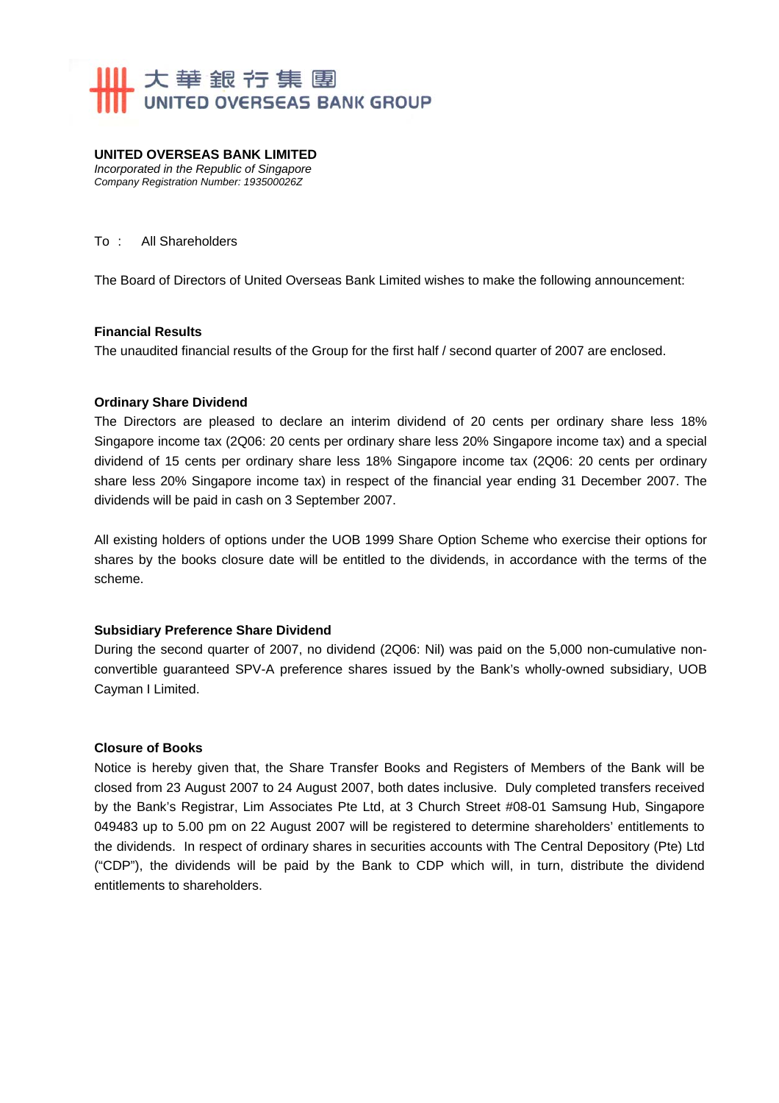

#### **UNITED OVERSEAS BANK LIMITED**  *Incorporated in the Republic of Singapore Company Registration Number: 193500026Z*

#### To : All Shareholders

The Board of Directors of United Overseas Bank Limited wishes to make the following announcement:

#### **Financial Results**

The unaudited financial results of the Group for the first half / second quarter of 2007 are enclosed.

#### **Ordinary Share Dividend**

The Directors are pleased to declare an interim dividend of 20 cents per ordinary share less 18% Singapore income tax (2Q06: 20 cents per ordinary share less 20% Singapore income tax) and a special dividend of 15 cents per ordinary share less 18% Singapore income tax (2Q06: 20 cents per ordinary share less 20% Singapore income tax) in respect of the financial year ending 31 December 2007. The dividends will be paid in cash on 3 September 2007.

All existing holders of options under the UOB 1999 Share Option Scheme who exercise their options for shares by the books closure date will be entitled to the dividends, in accordance with the terms of the scheme.

### **Subsidiary Preference Share Dividend**

During the second quarter of 2007, no dividend (2Q06: Nil) was paid on the 5,000 non-cumulative nonconvertible guaranteed SPV-A preference shares issued by the Bank's wholly-owned subsidiary, UOB Cayman I Limited.

### **Closure of Books**

Notice is hereby given that, the Share Transfer Books and Registers of Members of the Bank will be closed from 23 August 2007 to 24 August 2007, both dates inclusive. Duly completed transfers received by the Bank's Registrar, Lim Associates Pte Ltd, at 3 Church Street #08-01 Samsung Hub, Singapore 049483 up to 5.00 pm on 22 August 2007 will be registered to determine shareholders' entitlements to the dividends. In respect of ordinary shares in securities accounts with The Central Depository (Pte) Ltd ("CDP"), the dividends will be paid by the Bank to CDP which will, in turn, distribute the dividend entitlements to shareholders.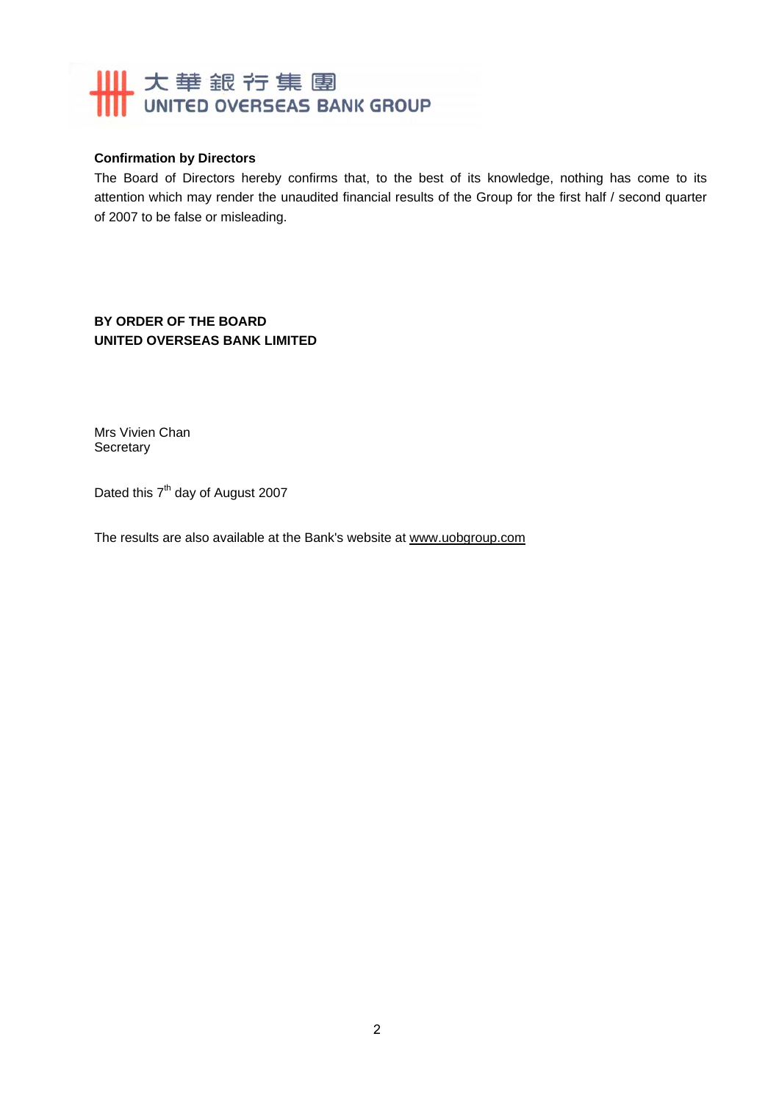# **IIII** 大華銀行集團 **WITED OVERSEAS BANK GROUP**

# **Confirmation by Directors**

The Board of Directors hereby confirms that, to the best of its knowledge, nothing has come to its attention which may render the unaudited financial results of the Group for the first half / second quarter of 2007 to be false or misleading.

**BY ORDER OF THE BOARD UNITED OVERSEAS BANK LIMITED** 

Mrs Vivien Chan **Secretary** 

Dated this  $7<sup>th</sup>$  day of August 2007

The results are also available at the Bank's website at www.uobgroup.com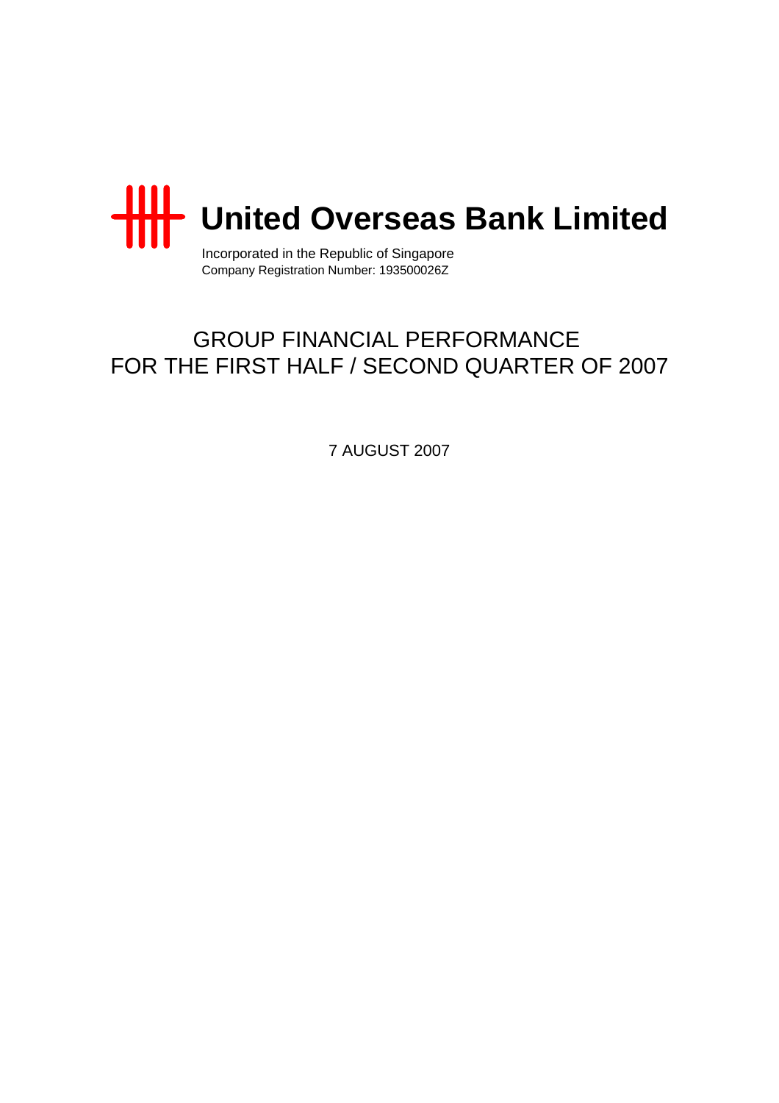

Incorporated in the Republic of Singapore Company Registration Number: 193500026Z

# GROUP FINANCIAL PERFORMANCE FOR THE FIRST HALF / SECOND QUARTER OF 2007

7 AUGUST 2007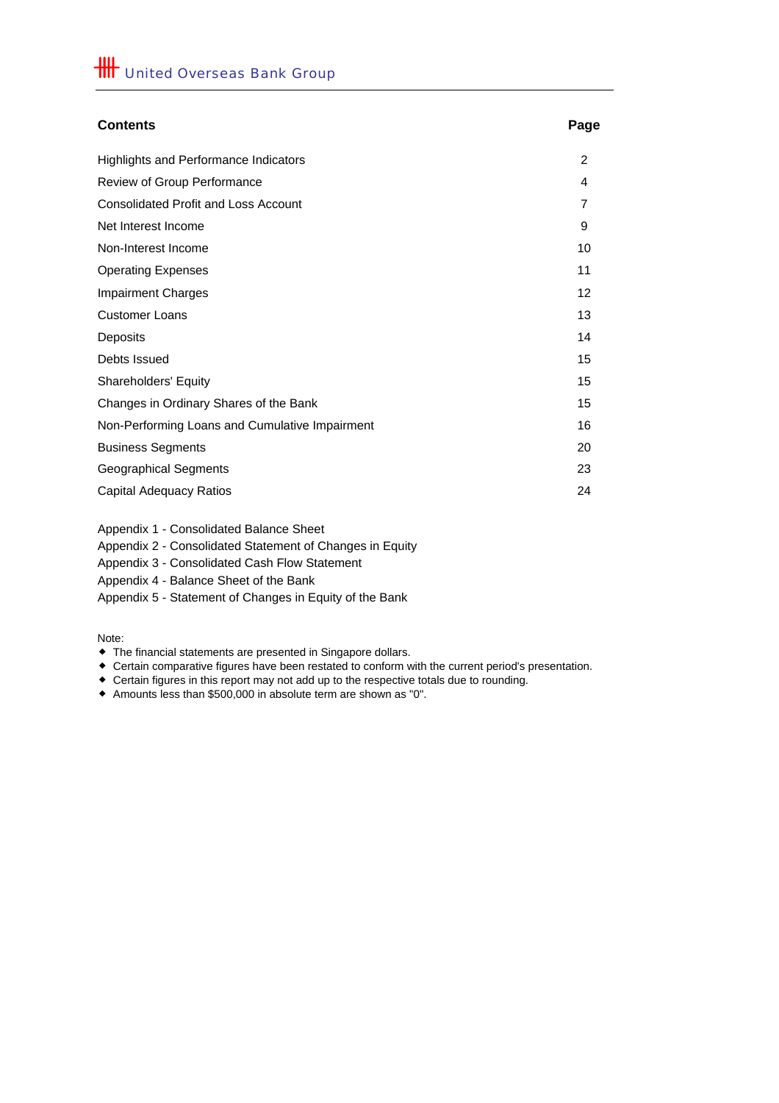| <b>Contents</b>                                | Page |
|------------------------------------------------|------|
| <b>Highlights and Performance Indicators</b>   | 2    |
| Review of Group Performance                    | 4    |
| <b>Consolidated Profit and Loss Account</b>    | 7    |
| Net Interest Income                            | 9    |
| Non-Interest Income                            | 10   |
| <b>Operating Expenses</b>                      | 11   |
| <b>Impairment Charges</b>                      | 12   |
| <b>Customer Loans</b>                          | 13   |
| Deposits                                       | 14   |
| Debts Issued                                   | 15   |
| <b>Shareholders' Equity</b>                    | 15   |
| Changes in Ordinary Shares of the Bank         | 15   |
| Non-Performing Loans and Cumulative Impairment | 16   |
| <b>Business Segments</b>                       | 20   |
| <b>Geographical Segments</b>                   | 23   |
| <b>Capital Adequacy Ratios</b>                 | 24   |

Appendix 1 - Consolidated Balance Sheet

Appendix 2 - Consolidated Statement of Changes in Equity

Appendix 3 - Consolidated Cash Flow Statement

Appendix 4 - Balance Sheet of the Bank

Appendix 5 - Statement of Changes in Equity of the Bank

Note:

The financial statements are presented in Singapore dollars.

Certain comparative figures have been restated to conform with the current period's presentation.

Certain figures in this report may not add up to the respective totals due to rounding.

Amounts less than \$500,000 in absolute term are shown as "0".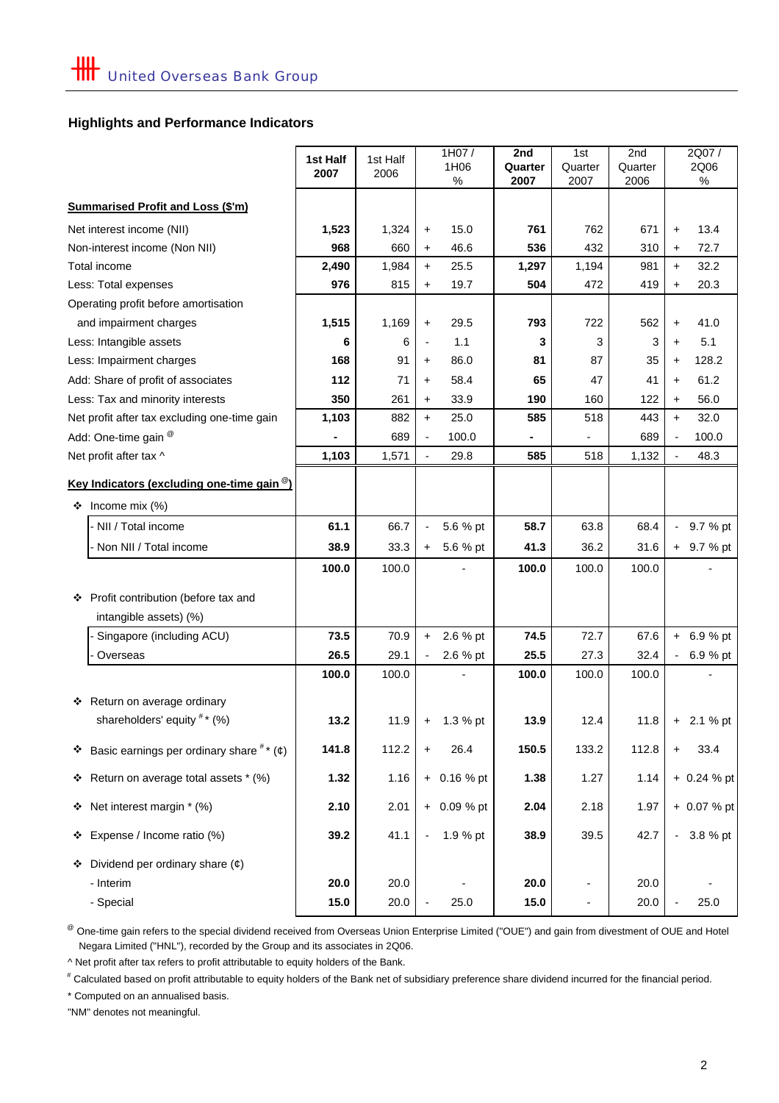# **Highlights and Performance Indicators**

|                                                                 | 1st Half | 1st Half |                          | 1H07/         | 2nd             | 1st             | 2nd             |                          | 2Q07/         |
|-----------------------------------------------------------------|----------|----------|--------------------------|---------------|-----------------|-----------------|-----------------|--------------------------|---------------|
|                                                                 | 2007     | 2006     |                          | 1H06<br>$\%$  | Quarter<br>2007 | Quarter<br>2007 | Quarter<br>2006 |                          | 2Q06<br>$\%$  |
|                                                                 |          |          |                          |               |                 |                 |                 |                          |               |
| <b>Summarised Profit and Loss (\$'m)</b>                        |          |          |                          |               |                 |                 |                 |                          |               |
| Net interest income (NII)                                       | 1,523    | 1,324    | $\ddot{}$                | 15.0          | 761             | 762             | 671             | $\ddot{}$                | 13.4          |
| Non-interest income (Non NII)                                   | 968      | 660      | $\ddot{}$                | 46.6          | 536             | 432             | 310             | +                        | 72.7          |
| Total income                                                    | 2,490    | 1,984    | $+$                      | 25.5          | 1,297           | 1,194           | 981             | $\ddot{}$                | 32.2          |
| Less: Total expenses                                            | 976      | 815      | $\ddot{}$                | 19.7          | 504             | 472             | 419             | +                        | 20.3          |
| Operating profit before amortisation                            |          |          |                          |               |                 |                 |                 |                          |               |
| and impairment charges                                          | 1,515    | 1,169    | $\ddot{}$                | 29.5          | 793             | 722             | 562             | +                        | 41.0          |
| Less: Intangible assets                                         | 6        | 6        |                          | 1.1           | 3               | 3               | 3               | +                        | 5.1           |
| Less: Impairment charges                                        | 168      | 91       | $\ddot{}$                | 86.0          | 81              | 87              | 35              | +                        | 128.2         |
| Add: Share of profit of associates                              | 112      | 71       | +                        | 58.4          | 65              | 47              | 41              | $\ddot{}$                | 61.2          |
| Less: Tax and minority interests                                | 350      | 261      | $\ddot{}$                | 33.9          | 190             | 160             | 122             | $\ddot{}$                | 56.0          |
| Net profit after tax excluding one-time gain                    | 1,103    | 882      | $+$                      | 25.0          | 585             | 518             | 443             | $\ddot{}$                | 32.0          |
| Add: One-time gain @                                            |          | 689      | $\overline{\phantom{0}}$ | 100.0         |                 |                 | 689             |                          | 100.0         |
| Net profit after tax ^                                          | 1,103    | 1,571    | $\frac{1}{2}$            | 29.8          | 585             | 518             | 1,132           | $\overline{\phantom{a}}$ | 48.3          |
| Key Indicators (excluding one-time gain <sup>@</sup> )          |          |          |                          |               |                 |                 |                 |                          |               |
| ❖<br>Income mix (%)                                             |          |          |                          |               |                 |                 |                 |                          |               |
| - NII / Total income                                            | 61.1     | 66.7     | $\overline{\phantom{a}}$ | 5.6 % pt      | 58.7            | 63.8            | 68.4            |                          | 9.7 % pt      |
| - Non NII / Total income                                        | 38.9     | 33.3     | $+$                      | 5.6 % pt      | 41.3            | 36.2            | 31.6            |                          | + 9.7 % pt    |
|                                                                 | 100.0    | 100.0    |                          |               | 100.0           | 100.0           | 100.0           |                          |               |
|                                                                 |          |          |                          |               |                 |                 |                 |                          |               |
| ❖ Profit contribution (before tax and<br>intangible assets) (%) |          |          |                          |               |                 |                 |                 |                          |               |
| Singapore (including ACU)                                       | 73.5     | 70.9     | $\ddot{}$                | 2.6 % pt      | 74.5            | 72.7            | 67.6            |                          | $+ 6.9 %$ pt  |
| Overseas                                                        | 26.5     | 29.1     |                          | 2.6 % pt      | 25.5            | 27.3            | 32.4            |                          | 6.9 % pt      |
|                                                                 | 100.0    | 100.0    |                          |               | 100.0           | 100.0           | 100.0           |                          |               |
| Return on average ordinary<br>❖                                 |          |          |                          |               |                 |                 |                 |                          |               |
| shareholders' equity #* (%)                                     | 13.2     | 11.9     |                          | $+ 1.3 %$ pt  | 13.9            | 12.4            | 11.8            |                          | $+ 2.1 %$ pt  |
| ❖ Basic earnings per ordinary share $\#$ * (¢)                  | 141.8    | 112.2    | +                        | 26.4          | 150.5           | 133.2           | 112.8           | +                        | 33.4          |
| Return on average total assets * (%)<br>❖                       | 1.32     | 1.16     |                          | $+ 0.16 %$ pt | 1.38            | 1.27            | 1.14            |                          | $+ 0.24 %$ pt |
| Net interest margin * (%)<br>❖                                  | 2.10     | 2.01     |                          | + 0.09 % pt   | 2.04            | 2.18            | 1.97            |                          | + 0.07 % pt   |
| Expense / Income ratio (%)<br>❖                                 | 39.2     | 41.1     |                          | 1.9 % pt      | 38.9            | 39.5            | 42.7            |                          | $-3.8%$ pt    |
| Dividend per ordinary share $(\phi)$<br>❖                       |          |          |                          |               |                 |                 |                 |                          |               |
| - Interim                                                       | 20.0     | 20.0     |                          |               | 20.0            | -               | 20.0            |                          |               |
| - Special                                                       | 15.0     | 20.0     |                          | 25.0          | 15.0            | ۰               | 20.0            |                          | 25.0          |

 Negara Limited ("HNL"), recorded by the Group and its associates in 2Q06. <sup>@</sup> One-time gain refers to the special dividend received from Overseas Union Enterprise Limited ("OUE") and gain from divestment of OUE and Hotel

^ Net profit after tax refers to profit attributable to equity holders of the Bank.

# Calculated based on profit attributable to equity holders of the Bank net of subsidiary preference share dividend incurred for the financial period.

\* Computed on an annualised basis.

"NM" denotes not meaningful.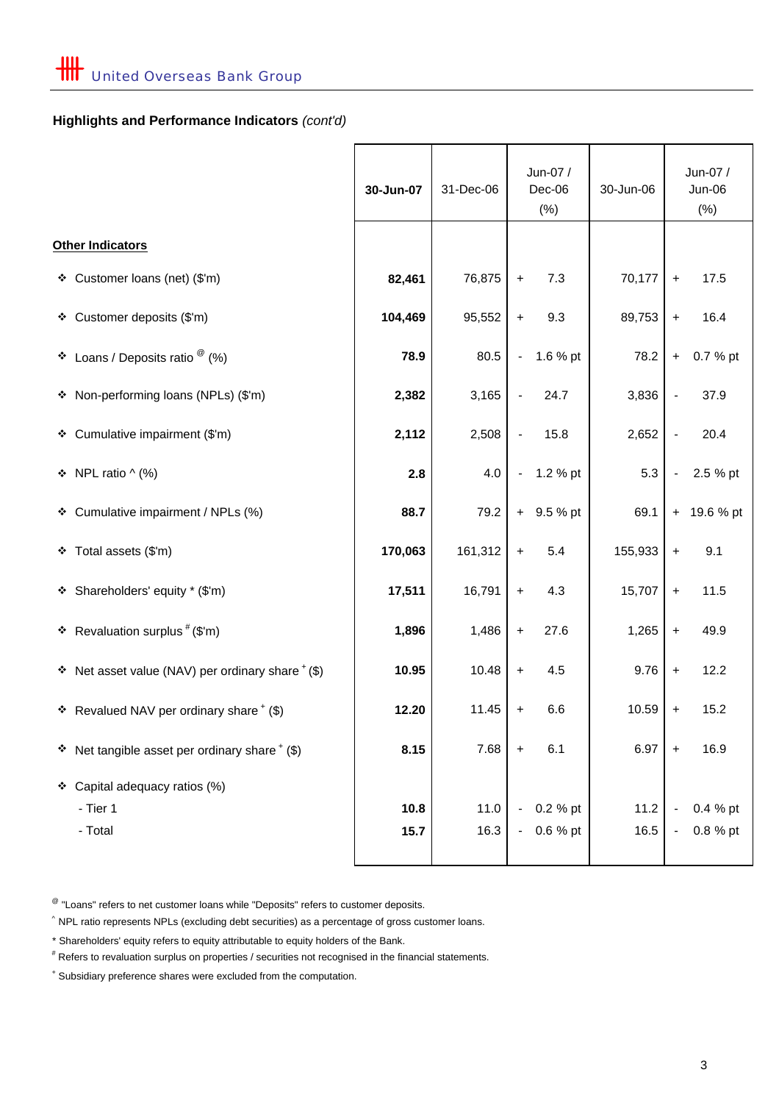# **Highlights and Performance Indicators** *(cont'd)*

|                                                         | 30-Jun-07    | 31-Dec-06    | Jun-07 /<br>Dec-06<br>(% )                               | 30-Jun-06    |                                                              | Jun-07 /<br>Jun-06<br>$(\% )$ |
|---------------------------------------------------------|--------------|--------------|----------------------------------------------------------|--------------|--------------------------------------------------------------|-------------------------------|
| Other Indicators                                        |              |              |                                                          |              |                                                              |                               |
| ❖ Customer loans (net) (\$'m)                           | 82,461       | 76,875       | 7.3<br>$\ddot{}$                                         | 70,177       | $\ddot{}$                                                    | 17.5                          |
| ❖ Customer deposits (\$'m)                              | 104,469      | 95,552       | 9.3<br>$\ddot{}$                                         | 89,753       | $\ddot{}$                                                    | 16.4                          |
| ❖ Loans / Deposits ratio $^{\circledR}$ (%)             | 78.9         | 80.5         | 1.6 % pt<br>$\blacksquare$                               | 78.2         | $+$                                                          | 0.7 % pt                      |
| * Non-performing loans (NPLs) (\$'m)                    | 2,382        | 3,165        | 24.7                                                     | 3,836        | $\overline{\phantom{a}}$                                     | 37.9                          |
| ❖ Cumulative impairment (\$'m)                          | 2,112        | 2,508        | 15.8<br>$\blacksquare$                                   | 2,652        | $\blacksquare$                                               | 20.4                          |
| $\div$ NPL ratio ^ (%)                                  | 2.8          | 4.0          | 1.2 % pt<br>$\sim 10$                                    | 5.3          | $\blacksquare$                                               | 2.5 % pt                      |
| * Cumulative impairment / NPLs (%)                      | 88.7         | 79.2         | $+$ 9.5 % pt                                             | 69.1         |                                                              | + 19.6 % pt                   |
| ❖ Total assets (\$'m)                                   | 170,063      | 161,312      | 5.4<br>$\ddot{}$                                         | 155,933      | $\ddot{}$                                                    | 9.1                           |
| * Shareholders' equity * (\$'m)                         | 17,511       | 16,791       | 4.3<br>$\boldsymbol{+}$                                  | 15,707       | $\ddot{}$                                                    | 11.5                          |
| * Revaluation surplus $#$ (\$'m)                        | 1,896        | 1,486        | 27.6<br>$\ddot{}$                                        | 1,265        | $\ddot{}$                                                    | 49.9                          |
| $\div$ Net asset value (NAV) per ordinary share $*(\$)$ | 10.95        | 10.48        | 4.5<br>$\ddot{\phantom{1}}$                              | 9.76         | $+$                                                          | 12.2                          |
| * Revalued NAV per ordinary share $*(\$)$               | 12.20        | 11.45        | 6.6<br>$\ddot{}$                                         | 10.59        | $\ddag$                                                      | 15.2                          |
| $\div$ Net tangible asset per ordinary share $*(\$)$    | 8.15         | 7.68         | 6.1<br>$\ddot{}$                                         | 6.97         | $\ddot{}$                                                    | 16.9                          |
| ❖ Capital adequacy ratios (%)<br>- Tier 1<br>- Total    | 10.8<br>15.7 | 11.0<br>16.3 | 0.2 % pt<br>$\blacksquare$<br>0.6 % pt<br>$\blacksquare$ | 11.2<br>16.5 | $\qquad \qquad \blacksquare$<br>$\qquad \qquad \blacksquare$ | 0.4 % pt<br>0.8 % pt          |
|                                                         |              |              |                                                          |              |                                                              |                               |

 $^{\circledR}$  "Loans" refers to net customer loans while "Deposits" refers to customer deposits.

 $\hat{ }$  NPL ratio represents NPLs (excluding debt securities) as a percentage of gross customer loans.

\* Shareholders' equity refers to equity attributable to equity holders of the Bank.

# Refers to revaluation surplus on properties / securities not recognised in the financial statements.

+ Subsidiary preference shares were excluded from the computation.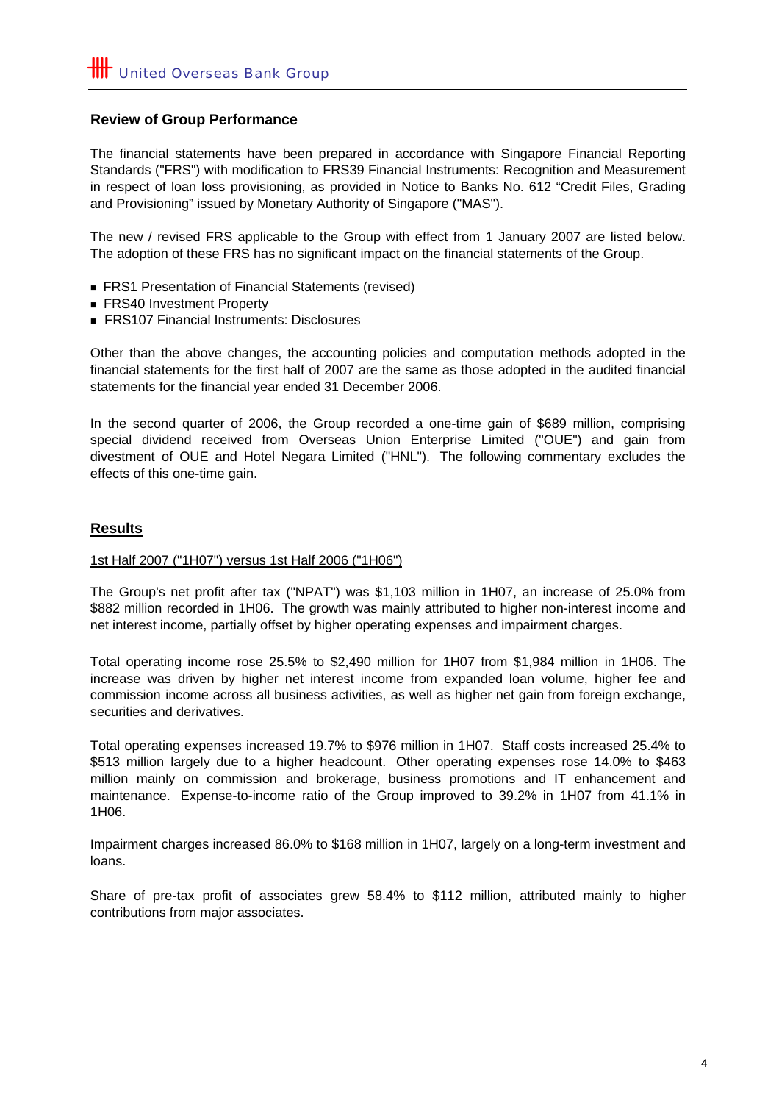# **Review of Group Performance**

The financial statements have been prepared in accordance with Singapore Financial Reporting Standards ("FRS") with modification to FRS39 Financial Instruments: Recognition and Measurement in respect of loan loss provisioning, as provided in Notice to Banks No. 612 "Credit Files, Grading and Provisioning" issued by Monetary Authority of Singapore ("MAS").

The new / revised FRS applicable to the Group with effect from 1 January 2007 are listed below. The adoption of these FRS has no significant impact on the financial statements of the Group.

- FRS1 Presentation of Financial Statements (revised)
- FRS40 Investment Property
- FRS107 Financial Instruments: Disclosures

Other than the above changes, the accounting policies and computation methods adopted in the financial statements for the first half of 2007 are the same as those adopted in the audited financial statements for the financial year ended 31 December 2006.

In the second quarter of 2006, the Group recorded a one-time gain of \$689 million, comprising special dividend received from Overseas Union Enterprise Limited ("OUE") and gain from divestment of OUE and Hotel Negara Limited ("HNL"). The following commentary excludes the effects of this one-time gain.

### **Results**

#### 1st Half 2007 ("1H07") versus 1st Half 2006 ("1H06")

The Group's net profit after tax ("NPAT") was \$1,103 million in 1H07, an increase of 25.0% from \$882 million recorded in 1H06. The growth was mainly attributed to higher non-interest income and net interest income, partially offset by higher operating expenses and impairment charges.

Total operating income rose 25.5% to \$2,490 million for 1H07 from \$1,984 million in 1H06. The increase was driven by higher net interest income from expanded loan volume, higher fee and commission income across all business activities, as well as higher net gain from foreign exchange, securities and derivatives.

Total operating expenses increased 19.7% to \$976 million in 1H07. Staff costs increased 25.4% to \$513 million largely due to a higher headcount. Other operating expenses rose 14.0% to \$463 million mainly on commission and brokerage, business promotions and IT enhancement and maintenance. Expense-to-income ratio of the Group improved to 39.2% in 1H07 from 41.1% in 1H06.

Impairment charges increased 86.0% to \$168 million in 1H07, largely on a long-term investment and loans.

Share of pre-tax profit of associates grew 58.4% to \$112 million, attributed mainly to higher contributions from major associates.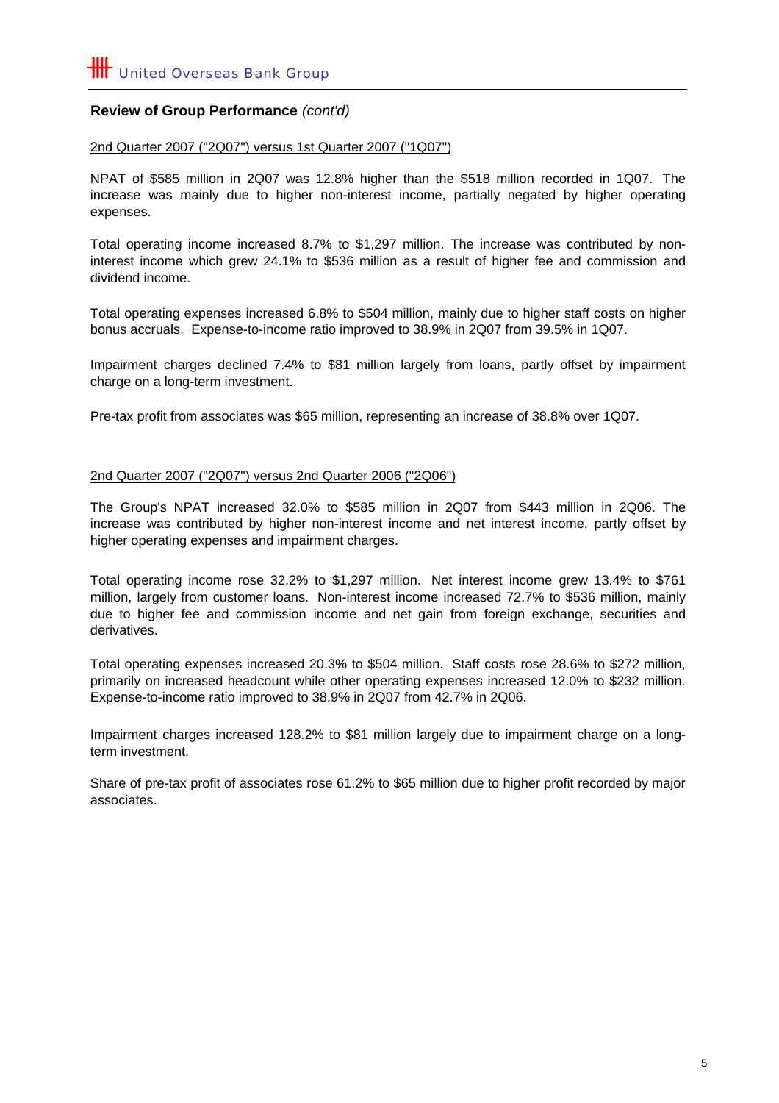# **Review of Group Performance** *(cont'd)*

#### 2nd Quarter 2007 ("2Q07") versus 1st Quarter 2007 ("1Q07")

NPAT of \$585 million in 2Q07 was 12.8% higher than the \$518 million recorded in 1Q07. The increase was mainly due to higher non-interest income, partially negated by higher operating expenses.

Total operating income increased 8.7% to \$1,297 million. The increase was contributed by noninterest income which grew 24.1% to \$536 million as a result of higher fee and commission and dividend income.

Total operating expenses increased 6.8% to \$504 million, mainly due to higher staff costs on higher bonus accruals. Expense-to-income ratio improved to 38.9% in 2Q07 from 39.5% in 1Q07.

Impairment charges declined 7.4% to \$81 million largely from loans, partly offset by impairment charge on a long-term investment.

Pre-tax profit from associates was \$65 million, representing an increase of 38.8% over 1Q07.

#### 2nd Quarter 2007 ("2Q07") versus 2nd Quarter 2006 ("2Q06")

The Group's NPAT increased 32.0% to \$585 million in 2Q07 from \$443 million in 2Q06. The increase was contributed by higher non-interest income and net interest income, partly offset by higher operating expenses and impairment charges.

Total operating income rose 32.2% to \$1,297 million. Net interest income grew 13.4% to \$761 million, largely from customer loans. Non-interest income increased 72.7% to \$536 million, mainly due to higher fee and commission income and net gain from foreign exchange, securities and derivatives.

Total operating expenses increased 20.3% to \$504 million. Staff costs rose 28.6% to \$272 million, primarily on increased headcount while other operating expenses increased 12.0% to \$232 million. Expense-to-income ratio improved to 38.9% in 2Q07 from 42.7% in 2Q06.

Impairment charges increased 128.2% to \$81 million largely due to impairment charge on a longterm investment.

Share of pre-tax profit of associates rose 61.2% to \$65 million due to higher profit recorded by major associates.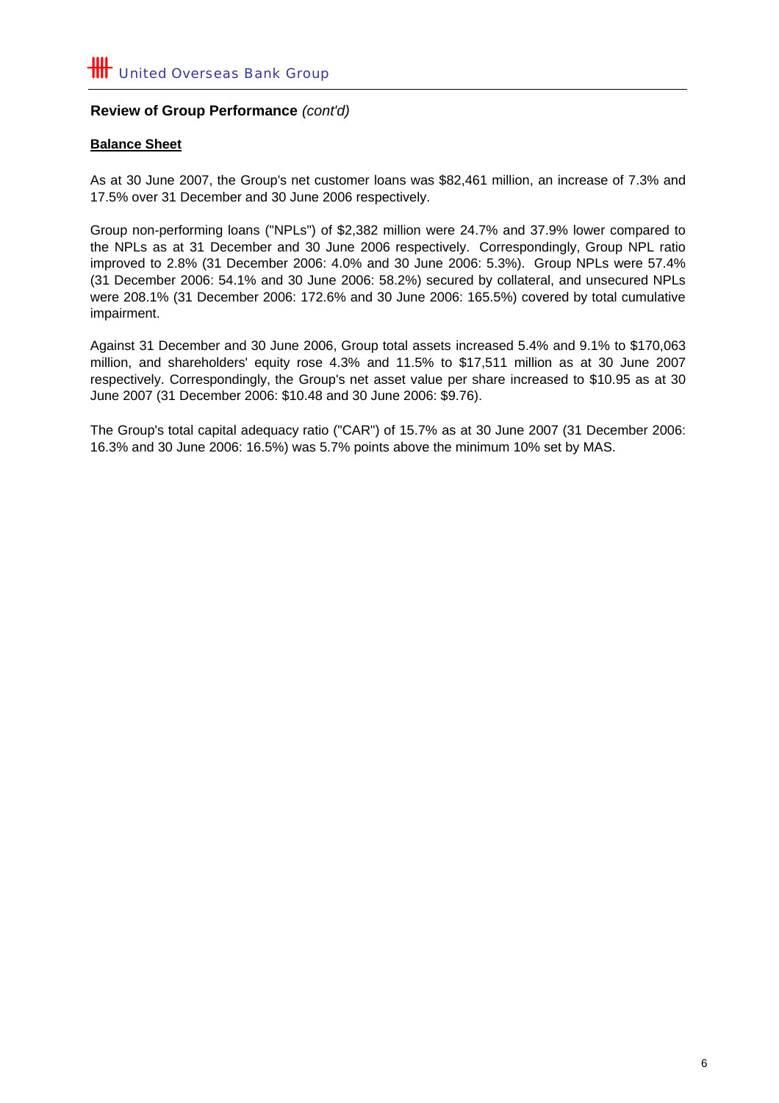# **Review of Group Performance** *(cont'd)*

# **Balance Sheet**

As at 30 June 2007, the Group's net customer loans was \$82,461 million, an increase of 7.3% and 17.5% over 31 December and 30 June 2006 respectively.

Group non-performing loans ("NPLs") of \$2,382 million were 24.7% and 37.9% lower compared to the NPLs as at 31 December and 30 June 2006 respectively. Correspondingly, Group NPL ratio improved to 2.8% (31 December 2006: 4.0% and 30 June 2006: 5.3%). Group NPLs were 57.4% (31 December 2006: 54.1% and 30 June 2006: 58.2%) secured by collateral, and unsecured NPLs were 208.1% (31 December 2006: 172.6% and 30 June 2006: 165.5%) covered by total cumulative impairment.

Against 31 December and 30 June 2006, Group total assets increased 5.4% and 9.1% to \$170,063 million, and shareholders' equity rose 4.3% and 11.5% to \$17,511 million as at 30 June 2007 respectively. Correspondingly, the Group's net asset value per share increased to \$10.95 as at 30 June 2007 (31 December 2006: \$10.48 and 30 June 2006: \$9.76).

The Group's total capital adequacy ratio ("CAR") of 15.7% as at 30 June 2007 (31 December 2006: 16.3% and 30 June 2006: 16.5%) was 5.7% points above the minimum 10% set by MAS.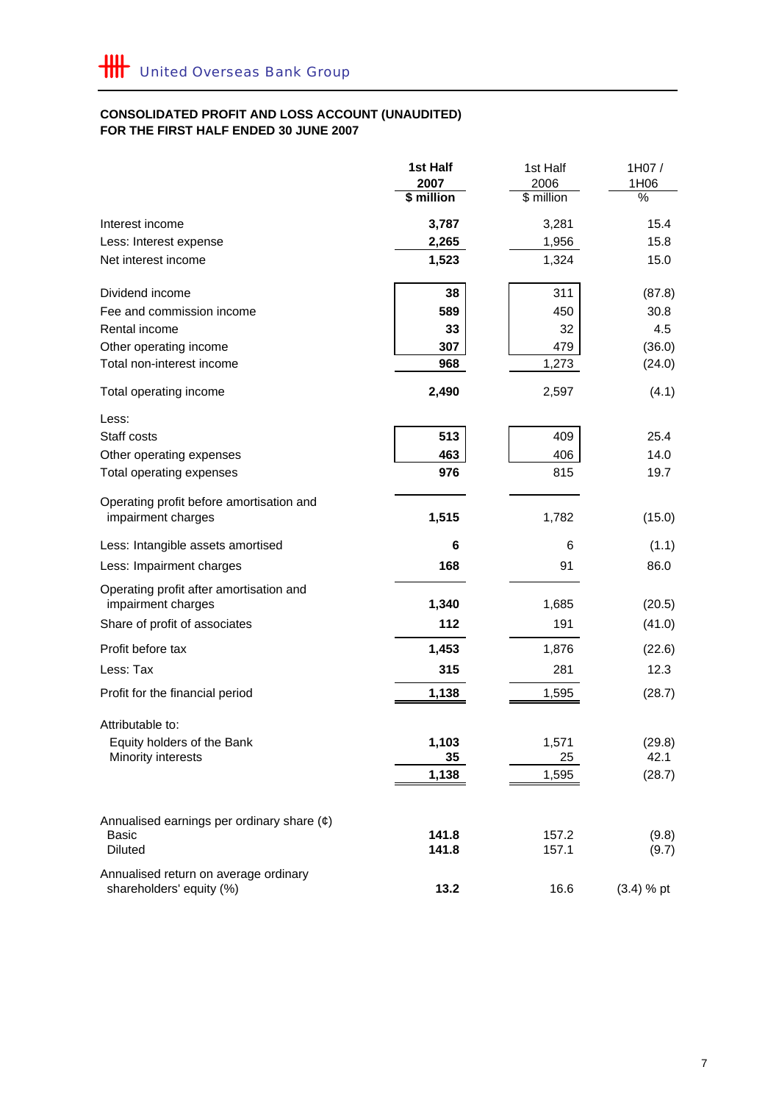#### **FOR THE FIRST HALF ENDED 30 JUNE 2007 CONSOLIDATED PROFIT AND LOSS ACCOUNT (UNAUDITED)**

|                                                                | 1st Half           | 1st Half           | 1H07/        |
|----------------------------------------------------------------|--------------------|--------------------|--------------|
|                                                                | 2007<br>\$ million | 2006<br>\$ million | 1H06<br>%    |
|                                                                |                    |                    |              |
| Interest income                                                | 3,787              | 3,281              | 15.4         |
| Less: Interest expense                                         | 2,265              | 1,956              | 15.8         |
| Net interest income                                            | 1,523              | 1,324              | 15.0         |
| Dividend income                                                | 38                 | 311                | (87.8)       |
| Fee and commission income                                      | 589                | 450                | 30.8         |
| Rental income                                                  | 33                 | 32                 | 4.5          |
| Other operating income                                         | 307                | 479                | (36.0)       |
| Total non-interest income                                      | 968                | 1,273              | (24.0)       |
| Total operating income                                         | 2,490              | 2,597              | (4.1)        |
| Less:                                                          |                    |                    |              |
| Staff costs                                                    | 513                | 409                | 25.4         |
| Other operating expenses                                       | 463                | 406                | 14.0         |
| Total operating expenses                                       | 976                | 815                | 19.7         |
| Operating profit before amortisation and<br>impairment charges | 1,515              | 1,782              | (15.0)       |
|                                                                |                    |                    |              |
| Less: Intangible assets amortised                              | 6                  | 6                  | (1.1)        |
| Less: Impairment charges                                       | 168                | 91                 | 86.0         |
| Operating profit after amortisation and<br>impairment charges  | 1,340              | 1,685              | (20.5)       |
| Share of profit of associates                                  | 112                | 191                | (41.0)       |
| Profit before tax                                              | 1,453              | 1,876              | (22.6)       |
| Less: Tax                                                      | 315                | 281                | 12.3         |
| Profit for the financial period                                | 1,138              | 1,595              | (28.7)       |
| Attributable to:                                               |                    |                    |              |
| Equity holders of the Bank                                     | 1,103              | 1,571              | (29.8)       |
| Minority interests                                             | 35                 | 25                 | 42.1         |
|                                                                | 1,138              | 1,595              | (28.7)       |
|                                                                |                    |                    |              |
| Annualised earnings per ordinary share $(e)$<br><b>Basic</b>   | 141.8              | 157.2              | (9.8)        |
| <b>Diluted</b>                                                 | 141.8              | 157.1              | (9.7)        |
| Annualised return on average ordinary                          |                    |                    |              |
| shareholders' equity (%)                                       | 13.2               | 16.6               | $(3.4) %$ pt |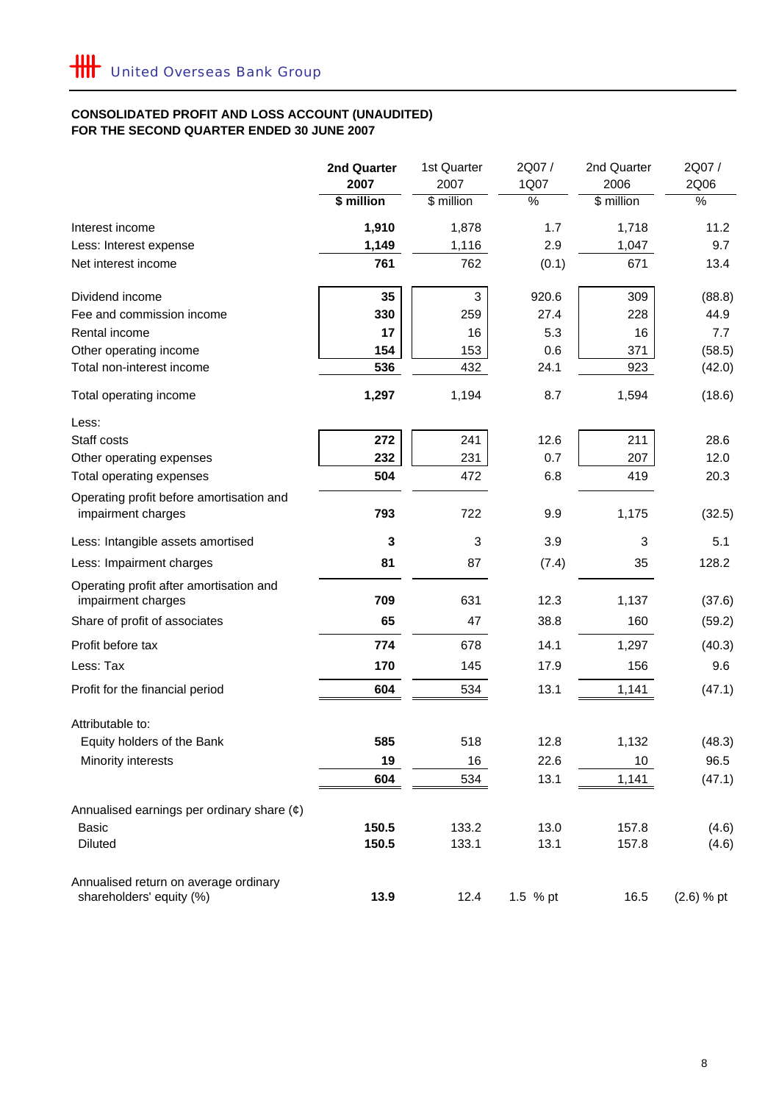#### **CONSOLIDATED PROFIT AND LOSS ACCOUNT (UNAUDITED) FOR THE SECOND QUARTER ENDED 30 JUNE 2007**

|                                                               | 2nd Quarter | 1st Quarter | 2Q07/         | 2nd Quarter | 2Q07/         |
|---------------------------------------------------------------|-------------|-------------|---------------|-------------|---------------|
|                                                               | 2007        | 2007        | 1Q07          | 2006        | 2Q06          |
|                                                               | \$ million  | \$ million  | $\frac{9}{6}$ | \$ million  | $\frac{8}{6}$ |
| Interest income                                               | 1,910       | 1,878       | 1.7           | 1,718       | 11.2          |
| Less: Interest expense                                        | 1,149       | 1,116       | 2.9           | 1,047       | 9.7           |
| Net interest income                                           | 761         | 762         | (0.1)         | 671         | 13.4          |
| Dividend income                                               | 35          | 3           | 920.6         | 309         | (88.8)        |
| Fee and commission income                                     | 330         | 259         | 27.4          | 228         | 44.9          |
| Rental income                                                 | 17          | 16          | 5.3           | 16          | 7.7           |
| Other operating income                                        | 154         | 153         | 0.6           | 371         | (58.5)        |
| Total non-interest income                                     | 536         | 432         | 24.1          | 923         | (42.0)        |
| Total operating income                                        | 1,297       | 1,194       | 8.7           | 1,594       | (18.6)        |
| Less:                                                         |             |             |               |             |               |
| Staff costs                                                   | 272         | 241         | 12.6          | 211         | 28.6          |
| Other operating expenses                                      | 232         | 231         | 0.7           | 207         | 12.0          |
| Total operating expenses                                      | 504         | 472         | 6.8           | 419         | 20.3          |
| Operating profit before amortisation and                      |             |             |               |             |               |
| impairment charges                                            | 793         | 722         | 9.9           | 1,175       | (32.5)        |
| Less: Intangible assets amortised                             | 3           | 3           | 3.9           | 3           | 5.1           |
| Less: Impairment charges                                      | 81          | 87          | (7.4)         | 35          | 128.2         |
| Operating profit after amortisation and<br>impairment charges | 709         | 631         | 12.3          | 1,137       | (37.6)        |
| Share of profit of associates                                 | 65          | 47          | 38.8          | 160         | (59.2)        |
| Profit before tax                                             | 774         | 678         | 14.1          | 1,297       | (40.3)        |
| Less: Tax                                                     | 170         | 145         | 17.9          | 156         | 9.6           |
| Profit for the financial period                               | 604         | 534         | 13.1          | 1,141       | (47.1)        |
| Attributable to:                                              |             |             |               |             |               |
| Equity holders of the Bank                                    | 585         | 518         | 12.8          | 1,132       | (48.3)        |
| Minority interests                                            | 19          | 16          | 22.6          | 10          | 96.5          |
|                                                               | 604         | 534         | 13.1          | 1,141       | (47.1)        |
| Annualised earnings per ordinary share $(\phi)$               |             |             |               |             |               |
| Basic                                                         | 150.5       | 133.2       | 13.0          | 157.8       | (4.6)         |
| <b>Diluted</b>                                                | 150.5       | 133.1       | 13.1          | 157.8       | (4.6)         |
| Annualised return on average ordinary                         |             |             |               |             |               |
| shareholders' equity (%)                                      | 13.9        | 12.4        | 1.5 % pt      | 16.5        | $(2.6) %$ pt  |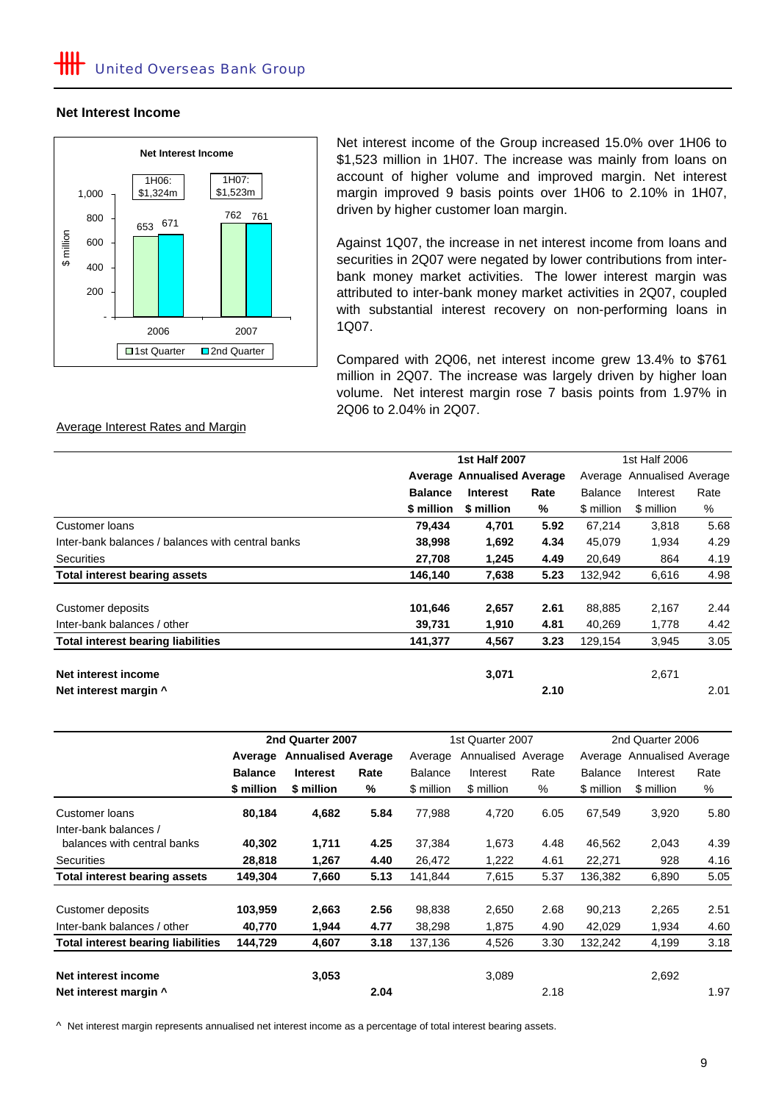#### **Net Interest Income**



Net interest income of the Group increased 15.0% over 1H06 to \$1,523 million in 1H07. The increase was mainly from loans on account of higher volume and improved margin. Net interest margin improved 9 basis points over 1H06 to 2.10% in 1H07, driven by higher customer loan margin.

Against 1Q07, the increase in net interest income from loans and securities in 2Q07 were negated by lower contributions from interbank money market activities. The lower interest margin was attributed to inter-bank money market activities in 2Q07, coupled with substantial interest recovery on non-performing loans in 1Q07.

Compared with 2Q06, net interest income grew 13.4% to \$761 million in 2Q07. The increase was largely driven by higher loan volume. Net interest margin rose 7 basis points from 1.97% in 2Q06 to 2.04% in 2Q07.

|                                                   |                                   | <b>1st Half 2007</b> | 1st Half 2006 |                |                    |      |  |  |
|---------------------------------------------------|-----------------------------------|----------------------|---------------|----------------|--------------------|------|--|--|
|                                                   |                                   |                      |               |                |                    |      |  |  |
|                                                   | <b>Average Annualised Average</b> |                      |               | Average        | Annualised Average |      |  |  |
|                                                   | <b>Balance</b>                    | <b>Interest</b>      | Rate          | <b>Balance</b> | Interest           | Rate |  |  |
|                                                   | \$ million                        | \$ million           | %             | \$ million     | \$ million         | %    |  |  |
| Customer loans                                    | 79,434                            | 4,701                | 5.92          | 67,214         | 3,818              | 5.68 |  |  |
| Inter-bank balances / balances with central banks | 38,998                            | 1,692                | 4.34          | 45,079         | 1,934              | 4.29 |  |  |
| <b>Securities</b>                                 | 27,708                            | 1,245                | 4.49          | 20.649         | 864                | 4.19 |  |  |
| <b>Total interest bearing assets</b>              | 146,140                           | 7,638                | 5.23          | 132,942        | 6,616              | 4.98 |  |  |
|                                                   |                                   |                      |               |                |                    |      |  |  |
| Customer deposits                                 | 101,646                           | 2,657                | 2.61          | 88,885         | 2,167              | 2.44 |  |  |
| Inter-bank balances / other                       | 39,731                            | 1,910                | 4.81          | 40,269         | 1,778              | 4.42 |  |  |
| <b>Total interest bearing liabilities</b>         | 141,377                           | 4,567                | 3.23          | 129,154        | 3,945              | 3.05 |  |  |
|                                                   |                                   |                      |               |                |                    |      |  |  |
| Net interest income                               |                                   | 3,071                |               |                | 2,671              |      |  |  |
| Net interest margin ^                             |                                   |                      | 2.10          |                |                    | 2.01 |  |  |

|                                    |                | 2nd Quarter 2007          |      |                | 1st Quarter 2007   |      | 2nd Quarter 2006 |                            |      |
|------------------------------------|----------------|---------------------------|------|----------------|--------------------|------|------------------|----------------------------|------|
|                                    | Average        | <b>Annualised Average</b> |      | Average        | Annualised Average |      |                  | Average Annualised Average |      |
|                                    | <b>Balance</b> | <b>Interest</b>           | Rate | <b>Balance</b> | Interest           | Rate | <b>Balance</b>   | Interest                   | Rate |
|                                    | \$ million     | \$ million                | %    | \$ million     | \$ million         | %    | \$ million       | \$ million                 | %    |
| Customer loans                     | 80,184         | 4,682                     | 5.84 | 77,988         | 4,720              | 6.05 | 67,549           | 3,920                      | 5.80 |
| Inter-bank balances /              |                |                           |      |                |                    |      |                  |                            |      |
| balances with central banks        | 40,302         | 1,711                     | 4.25 | 37,384         | 1,673              | 4.48 | 46,562           | 2,043                      | 4.39 |
| <b>Securities</b>                  | 28,818         | 1,267                     | 4.40 | 26,472         | 1,222              | 4.61 | 22,271           | 928                        | 4.16 |
| Total interest bearing assets      | 149,304        | 7,660                     | 5.13 | 141,844        | 7,615              | 5.37 | 136,382          | 6,890                      | 5.05 |
| Customer deposits                  | 103,959        | 2,663                     | 2.56 | 98,838         | 2,650              | 2.68 | 90,213           | 2,265                      | 2.51 |
| Inter-bank balances / other        | 40,770         | 1,944                     | 4.77 | 38,298         | 1,875              | 4.90 | 42,029           | 1,934                      | 4.60 |
| Total interest bearing liabilities | 144,729        | 4,607                     | 3.18 | 137,136        | 4,526              | 3.30 | 132,242          | 4,199                      | 3.18 |
| Net interest income                |                | 3,053                     |      |                | 3,089              |      |                  | 2,692                      |      |
| Net interest margin ^              |                |                           | 2.04 |                |                    | 2.18 |                  |                            | 1.97 |

^ Net interest margin represents annualised net interest income as a percentage of total interest bearing assets.

#### Average Interest Rates and Margin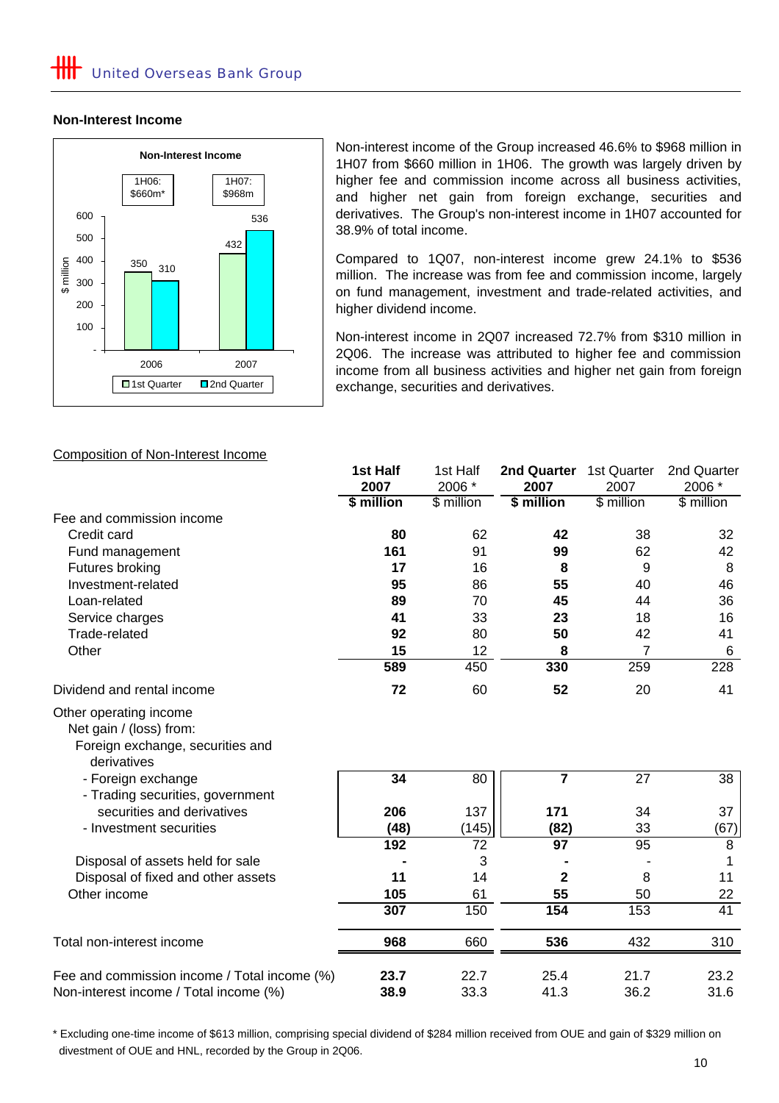### **Non-Interest Income**



Non-interest income of the Group increased 46.6% to \$968 million in 1H07 from \$660 million in 1H06. The growth was largely driven by higher fee and commission income across all business activities, and higher net gain from foreign exchange, securities and derivatives. The Group's non-interest income in 1H07 accounted for 38.9% of total income.

Compared to 1Q07, non-interest income grew 24.1% to \$536 million. The increase was from fee and commission income, largely on fund management, investment and trade-related activities, and higher dividend income.

Non-interest income in 2Q07 increased 72.7% from \$310 million in 2Q06. The increase was attributed to higher fee and commission income from all business activities and higher net gain from foreign exchange, securities and derivatives.

### Composition of Non-Interest Income

|                                                                                                      | 1st Half   | 1st Half        | 2nd Quarter             | 1st Quarter    | 2nd Quarter    |
|------------------------------------------------------------------------------------------------------|------------|-----------------|-------------------------|----------------|----------------|
|                                                                                                      | 2007       | 2006 *          | 2007                    | 2007           | 2006 *         |
|                                                                                                      | \$ million | \$ million      | \$ million              | \$ million     | \$ million     |
| Fee and commission income                                                                            |            |                 |                         |                |                |
| Credit card                                                                                          | 80         | 62              | 42                      | 38             | 32             |
| Fund management                                                                                      | 161        | 91              | 99                      | 62             | 42             |
| Futures broking                                                                                      | 17         | 16              | 8                       | 9              | 8              |
| Investment-related                                                                                   | 95         | 86              | 55                      | 40             | 46             |
| Loan-related                                                                                         | 89         | 70              | 45                      | 44             | 36             |
| Service charges                                                                                      | 41         | 33              | 23                      | 18             | 16             |
| Trade-related                                                                                        | 92         | 80              | 50                      | 42             | 41             |
| Other                                                                                                | 15         | 12              | 8                       | $\overline{7}$ | 6              |
|                                                                                                      | 589        | 450             | 330                     | 259            | 228            |
| Dividend and rental income                                                                           | 72         | 60              | 52                      | 20             | 41             |
| Other operating income<br>Net gain / (loss) from:<br>Foreign exchange, securities and<br>derivatives |            |                 |                         |                |                |
| - Foreign exchange<br>- Trading securities, government                                               | 34         | 80              | $\overline{\mathbf{7}}$ | 27             | 38             |
| securities and derivatives                                                                           | 206        | 137             | 171                     | 34             | 37             |
| - Investment securities                                                                              | (48)       | (145)           | (82)                    | 33             | (67)           |
|                                                                                                      | 192        | $\overline{72}$ | 97                      | 95             | $\overline{8}$ |
| Disposal of assets held for sale                                                                     |            | 3               |                         |                |                |
| Disposal of fixed and other assets                                                                   | 11         | 14              | $\mathbf{2}$            | 8              | 11             |
| Other income                                                                                         | 105        | 61              | 55                      | 50             | 22             |
|                                                                                                      | 307        | 150             | 154                     | 153            | 41             |
| Total non-interest income                                                                            | 968        | 660             | 536                     | 432            | 310            |
| Fee and commission income / Total income (%)                                                         | 23.7       | 22.7            | 25.4                    | 21.7           | 23.2           |
| Non-interest income / Total income (%)                                                               | 38.9       | 33.3            | 41.3                    | 36.2           | 31.6           |

 divestment of OUE and HNL, recorded by the Group in 2Q06. \* Excluding one-time income of \$613 million, comprising special dividend of \$284 million received from OUE and gain of \$329 million on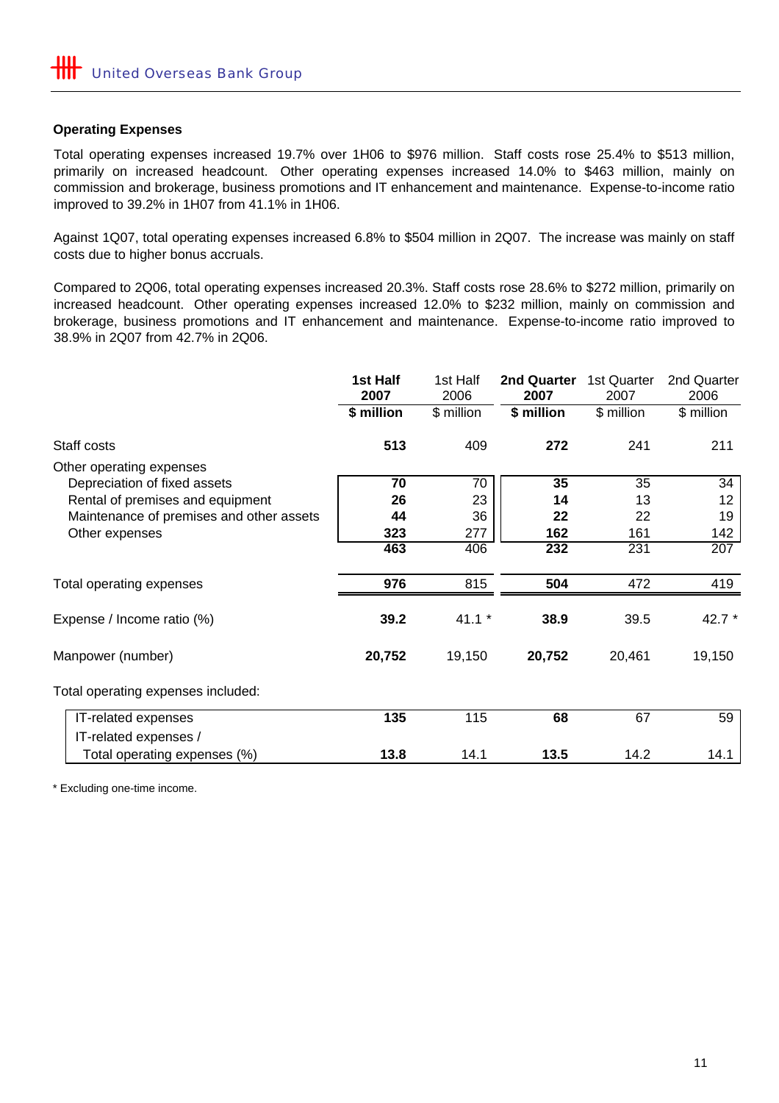# **Operating Expenses**

Total operating expenses increased 19.7% over 1H06 to \$976 million. Staff costs rose 25.4% to \$513 million, primarily on increased headcount. Other operating expenses increased 14.0% to \$463 million, mainly on commission and brokerage, business promotions and IT enhancement and maintenance. Expense-to-income ratio improved to 39.2% in 1H07 from 41.1% in 1H06.

Against 1Q07, total operating expenses increased 6.8% to \$504 million in 2Q07. The increase was mainly on staff costs due to higher bonus accruals.

Compared to 2Q06, total operating expenses increased 20.3%. Staff costs rose 28.6% to \$272 million, primarily on increased headcount. Other operating expenses increased 12.0% to \$232 million, mainly on commission and brokerage, business promotions and IT enhancement and maintenance. Expense-to-income ratio improved to 38.9% in 2Q07 from 42.7% in 2Q06.

|                                          | 1st Half<br>2007 | 1st Half<br>2006 | 2nd Quarter<br>2007 | 1st Quarter<br>2007 | 2nd Quarter<br>2006 |
|------------------------------------------|------------------|------------------|---------------------|---------------------|---------------------|
|                                          | \$ million       | \$ million       | \$ million          | \$ million          | \$ million          |
| Staff costs                              | 513              | 409              | 272                 | 241                 | 211                 |
| Other operating expenses                 |                  |                  |                     |                     |                     |
| Depreciation of fixed assets             | 70               | 70               | 35                  | 35                  | 34                  |
| Rental of premises and equipment         | 26               | 23               | 14                  | 13                  | 12 <sup>2</sup>     |
| Maintenance of premises and other assets | 44               | 36               | 22                  | 22                  | 19                  |
| Other expenses                           | 323              | 277              | 162                 | 161                 | 142                 |
|                                          | 463              | 406              | 232                 | 231                 | 207                 |
| Total operating expenses                 | 976              | 815              | 504                 | 472                 | 419                 |
| Expense / Income ratio (%)               | 39.2             | $41.1*$          | 38.9                | 39.5                | 42.7 *              |
| Manpower (number)                        | 20,752           | 19,150           | 20,752              | 20,461              | 19,150              |
| Total operating expenses included:       |                  |                  |                     |                     |                     |
| IT-related expenses                      | 135              | 115              | 68                  | 67                  | 59                  |
| IT-related expenses /                    |                  |                  |                     |                     |                     |
| Total operating expenses (%)             | 13.8             | 14.1             | 13.5                | 14.2                | 14.1                |

\* Excluding one-time income.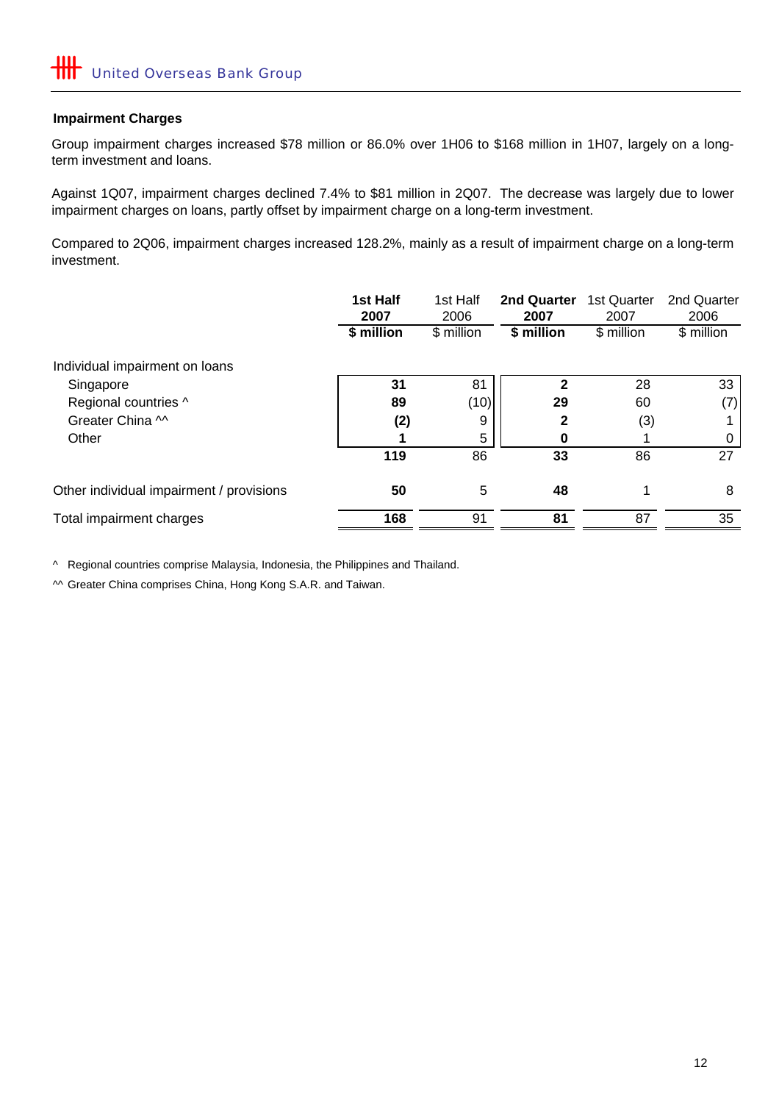#### **Impairment Charges**

Group impairment charges increased \$78 million or 86.0% over 1H06 to \$168 million in 1H07, largely on a longterm investment and loans.

Against 1Q07, impairment charges declined 7.4% to \$81 million in 2Q07. The decrease was largely due to lower impairment charges on loans, partly offset by impairment charge on a long-term investment.

Compared to 2Q06, impairment charges increased 128.2%, mainly as a result of impairment charge on a long-term investment.

|                                          | 1st Half<br>2007 | 1st Half<br>2006 | 2nd Quarter<br>2007 | 1st Quarter<br>2007 | 2nd Quarter<br>2006 |
|------------------------------------------|------------------|------------------|---------------------|---------------------|---------------------|
|                                          | \$ million       | \$ million       | \$ million          | \$ million          | \$ million          |
| Individual impairment on loans           |                  |                  |                     |                     |                     |
| Singapore                                | 31               | 81               | 2                   | 28                  | 33                  |
| Regional countries ^                     | 89               | (10)             | 29                  | 60                  | (7)                 |
| Greater China M                          | (2)              | 9                | $\mathbf 2$         | (3)                 |                     |
| Other                                    |                  | 5                | 0                   |                     | 0                   |
|                                          | 119              | 86               | 33                  | 86                  | 27                  |
| Other individual impairment / provisions | 50               | 5                | 48                  |                     | 8                   |
| Total impairment charges                 | 168              | 91               | 81                  | 87                  | 35                  |

^ Regional countries comprise Malaysia, Indonesia, the Philippines and Thailand.

^^ Greater China comprises China, Hong Kong S.A.R. and Taiwan.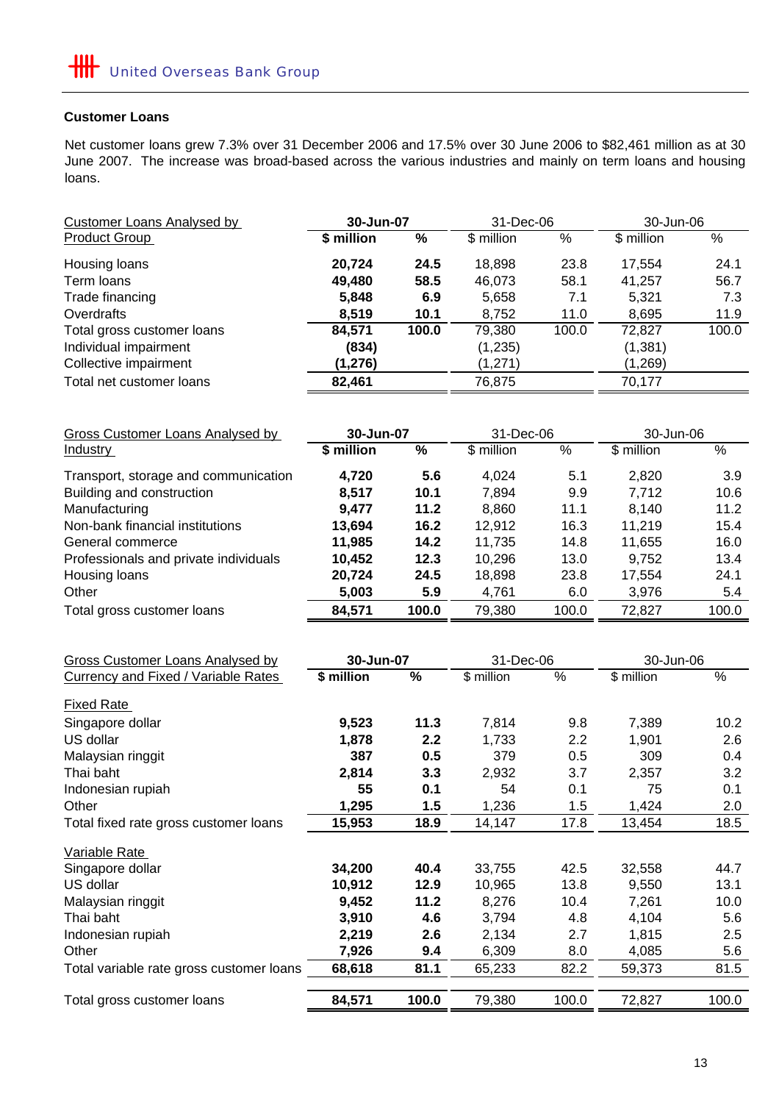# **Customer Loans**

Net customer loans grew 7.3% over 31 December 2006 and 17.5% over 30 June 2006 to \$82,461 million as at 30 June 2007. The increase was broad-based across the various industries and mainly on term loans and housing loans.

| <b>Customer Loans Analysed by</b> | 30-Jun-07  |       | 31-Dec-06  |       | 30-Jun-06  |       |
|-----------------------------------|------------|-------|------------|-------|------------|-------|
| <b>Product Group</b>              | \$ million | %     | \$ million | %     | \$ million | %     |
| Housing loans                     | 20,724     | 24.5  | 18,898     | 23.8  | 17.554     | 24.1  |
| Term loans                        | 49,480     | 58.5  | 46,073     | 58.1  | 41,257     | 56.7  |
| Trade financing                   | 5,848      | 6.9   | 5,658      | 7.1   | 5,321      | 7.3   |
| Overdrafts                        | 8,519      | 10.1  | 8,752      | 11.0  | 8,695      | 11.9  |
| Total gross customer loans        | 84,571     | 100.0 | 79,380     | 100.0 | 72,827     | 100.0 |
| Individual impairment             | (834)      |       | (1,235)    |       | (1, 381)   |       |
| Collective impairment             | (1, 276)   |       | (1,271)    |       | (1,269)    |       |
| Total net customer loans          | 82,461     |       | 76,875     |       | 70,177     |       |

| Gross Customer Loans Analysed by      | 30-Jun-07  |       | 31-Dec-06  |       | 30-Jun-06  |       |
|---------------------------------------|------------|-------|------------|-------|------------|-------|
| <b>Industry</b>                       | \$ million | %     | \$ million | %     | \$ million | %     |
| Transport, storage and communication  | 4,720      | 5.6   | 4,024      | 5.1   | 2.820      | 3.9   |
| Building and construction             | 8,517      | 10.1  | 7,894      | 9.9   | 7,712      | 10.6  |
| Manufacturing                         | 9.477      | 11.2  | 8,860      | 11.1  | 8.140      | 11.2  |
| Non-bank financial institutions       | 13,694     | 16.2  | 12,912     | 16.3  | 11,219     | 15.4  |
| General commerce                      | 11,985     | 14.2  | 11,735     | 14.8  | 11,655     | 16.0  |
| Professionals and private individuals | 10,452     | 12.3  | 10,296     | 13.0  | 9,752      | 13.4  |
| Housing loans                         | 20,724     | 24.5  | 18,898     | 23.8  | 17,554     | 24.1  |
| Other                                 | 5,003      | 5.9   | 4,761      | 6.0   | 3,976      | 5.4   |
| Total gross customer loans            | 84,571     | 100.0 | 79,380     | 100.0 | 72,827     | 100.0 |

| <b>Gross Customer Loans Analysed by</b>    | 30-Jun-07  |       | 31-Dec-06  |       | 30-Jun-06  |       |
|--------------------------------------------|------------|-------|------------|-------|------------|-------|
| <b>Currency and Fixed / Variable Rates</b> | \$ million | %     | \$ million | %     | \$ million | $\%$  |
| <b>Fixed Rate</b>                          |            |       |            |       |            |       |
| Singapore dollar                           | 9,523      | 11.3  | 7,814      | 9.8   | 7,389      | 10.2  |
| US dollar                                  | 1,878      | 2.2   | 1,733      | 2.2   | 1,901      | 2.6   |
| Malaysian ringgit                          | 387        | 0.5   | 379        | 0.5   | 309        | 0.4   |
| Thai baht                                  | 2,814      | 3.3   | 2,932      | 3.7   | 2,357      | 3.2   |
| Indonesian rupiah                          | 55         | 0.1   | 54         | 0.1   | 75         | 0.1   |
| Other                                      | 1,295      | 1.5   | 1,236      | 1.5   | 1,424      | 2.0   |
| Total fixed rate gross customer loans      | 15,953     | 18.9  | 14,147     | 17.8  | 13,454     | 18.5  |
| Variable Rate                              |            |       |            |       |            |       |
| Singapore dollar                           | 34,200     | 40.4  | 33,755     | 42.5  | 32,558     | 44.7  |
| US dollar                                  | 10,912     | 12.9  | 10,965     | 13.8  | 9,550      | 13.1  |
| Malaysian ringgit                          | 9,452      | 11.2  | 8,276      | 10.4  | 7,261      | 10.0  |
| Thai baht                                  | 3,910      | 4.6   | 3,794      | 4.8   | 4,104      | 5.6   |
| Indonesian rupiah                          | 2,219      | 2.6   | 2,134      | 2.7   | 1,815      | 2.5   |
| Other                                      | 7,926      | 9.4   | 6,309      | 8.0   | 4,085      | 5.6   |
| Total variable rate gross customer loans   | 68,618     | 81.1  | 65,233     | 82.2  | 59,373     | 81.5  |
|                                            |            |       |            |       |            |       |
| Total gross customer loans                 | 84,571     | 100.0 | 79,380     | 100.0 | 72,827     | 100.0 |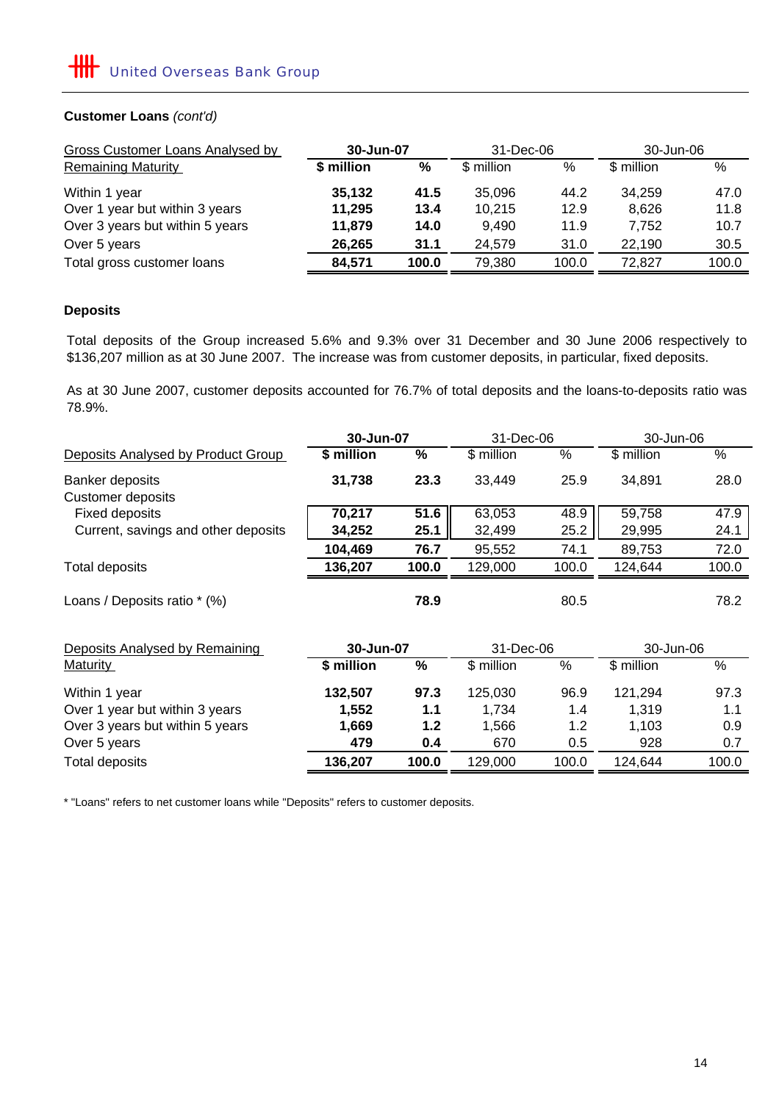### **Customer Loans** *(cont'd)*

| Gross Customer Loans Analysed by | 30-Jun-07  |       | 31-Dec-06  |       | 30-Jun-06  |       |
|----------------------------------|------------|-------|------------|-------|------------|-------|
| <b>Remaining Maturity</b>        | \$ million | %     | \$ million | %     | \$ million | $\%$  |
| Within 1 year                    | 35,132     | 41.5  | 35,096     | 44.2  | 34,259     | 47.0  |
| Over 1 year but within 3 years   | 11,295     | 13.4  | 10,215     | 12.9  | 8.626      | 11.8  |
| Over 3 years but within 5 years  | 11,879     | 14.0  | 9.490      | 11.9  | 7.752      | 10.7  |
| Over 5 years                     | 26,265     | 31.1  | 24.579     | 31.0  | 22.190     | 30.5  |
| Total gross customer loans       | 84,571     | 100.0 | 79,380     | 100.0 | 72.827     | 100.0 |

# **Deposits**

Total deposits of the Group increased 5.6% and 9.3% over 31 December and 30 June 2006 respectively to \$136,207 million as at 30 June 2007. The increase was from customer deposits, in particular, fixed deposits.

As at 30 June 2007, customer deposits accounted for 76.7% of total deposits and the loans-to-deposits ratio was 78.9%.

|                                     | 30-Jun-07  |       | 31-Dec-06  |       | 30-Jun-06  |       |
|-------------------------------------|------------|-------|------------|-------|------------|-------|
| Deposits Analysed by Product Group  | \$ million | $\%$  | \$ million | %     | \$ million | $\%$  |
| Banker deposits                     | 31,738     | 23.3  | 33,449     | 25.9  | 34,891     | 28.0  |
| <b>Customer deposits</b>            |            |       |            |       |            |       |
| <b>Fixed deposits</b>               | 70,217     | 51.6  | 63,053     | 48.9  | 59,758     | 47.9  |
| Current, savings and other deposits | 34,252     | 25.1  | 32,499     | 25.2  | 29,995     | 24.1  |
|                                     | 104,469    | 76.7  | 95,552     | 74.1  | 89,753     | 72.0  |
| <b>Total deposits</b>               | 136,207    | 100.0 | 129,000    | 100.0 | 124,644    | 100.0 |
| Loans / Deposits ratio * (%)        |            | 78.9  |            | 80.5  |            | 78.2  |
| Deposits Analysed by Remaining      | 30-Jun-07  |       | 31-Dec-06  |       | 30-Jun-06  |       |
| <b>Maturity</b>                     | \$ million | $\%$  | \$ million | %     | \$ million | %     |
| Within 1 year                       | 132,507    | 97.3  | 125,030    | 96.9  | 121,294    | 97.3  |
| Over 1 year but within 3 years      | 1,552      | 1.1   | 1,734      | 1.4   | 1,319      | 1.1   |
| Over 3 years but within 5 years     | 1,669      | $1.2$ | 1,566      | 1.2   | 1,103      | 0.9   |
| Over 5 years                        | 479        | 0.4   | 670        | 0.5   | 928        | 0.7   |
| <b>Total deposits</b>               | 136,207    | 100.0 | 129,000    | 100.0 | 124,644    | 100.0 |

\* "Loans" refers to net customer loans while "Deposits" refers to customer deposits.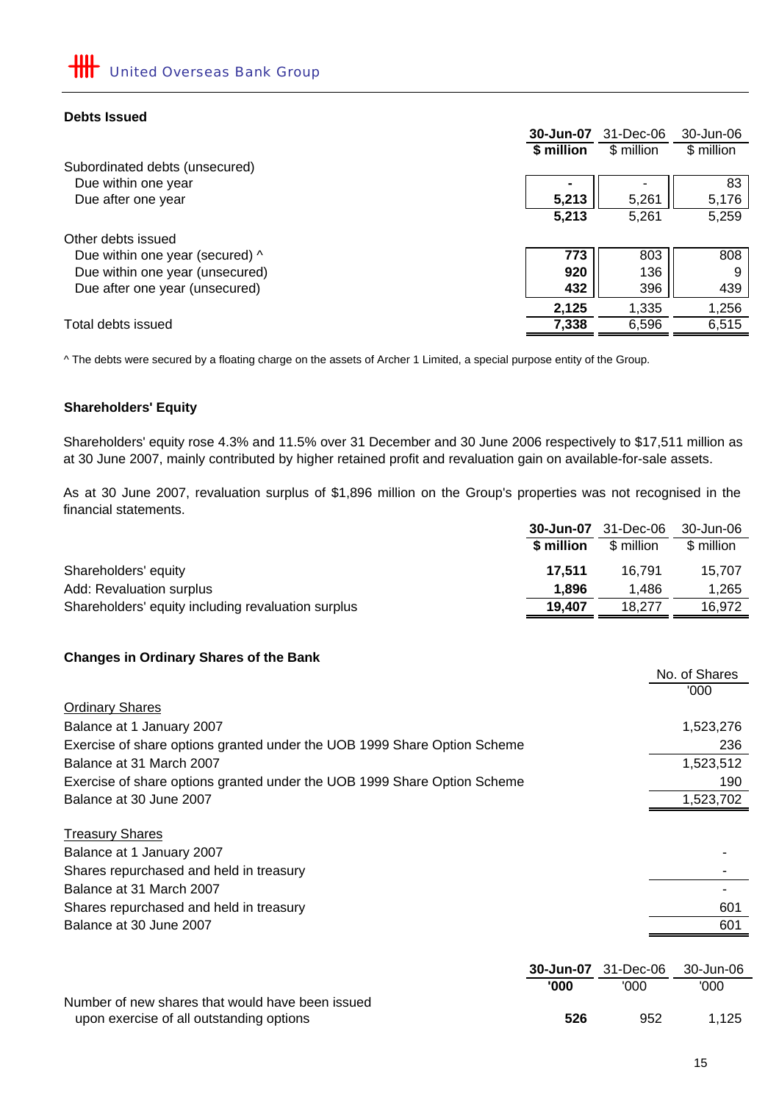### **Debts Issued**

|                                 | 30-Jun-07  | 31-Dec-06  | 30-Jun-06  |
|---------------------------------|------------|------------|------------|
|                                 | \$ million | \$ million | \$ million |
| Subordinated debts (unsecured)  |            |            |            |
| Due within one year             |            |            | 83         |
| Due after one year              | 5,213      | 5,261      | 5,176      |
|                                 | 5,213      | 5,261      | 5,259      |
| Other debts issued              |            |            |            |
| Due within one year (secured) ^ | 773        | 803        | 808        |
| Due within one year (unsecured) | 920        | 136        | 9          |
| Due after one year (unsecured)  | 432        | 396        | 439        |
|                                 | 2,125      | 1,335      | 1,256      |
| Total debts issued              | 7,338      | 6,596      | 6,515      |

^ The debts were secured by a floating charge on the assets of Archer 1 Limited, a special purpose entity of the Group.

### **Shareholders' Equity**

Shareholders' equity rose 4.3% and 11.5% over 31 December and 30 June 2006 respectively to \$17,511 million as at 30 June 2007, mainly contributed by higher retained profit and revaluation gain on available-for-sale assets.

As at 30 June 2007, revaluation surplus of \$1,896 million on the Group's properties was not recognised in the financial statements.

|                                                    | 30-Jun-07  | 31-Dec-06  | 30-Jun-06  |
|----------------------------------------------------|------------|------------|------------|
|                                                    | \$ million | \$ million | \$ million |
| Shareholders' equity                               | 17.511     | 16.791     | 15.707     |
| Add: Revaluation surplus                           | 1.896      | 1.486      | 1,265      |
| Shareholders' equity including revaluation surplus | 19.407     | 18.277     | 16,972     |

### **Changes in Ordinary Shares of the Bank**

|                                                                          |           |           | No. of Shares |
|--------------------------------------------------------------------------|-----------|-----------|---------------|
|                                                                          |           |           | '000          |
| <b>Ordinary Shares</b>                                                   |           |           |               |
| Balance at 1 January 2007                                                |           |           | 1,523,276     |
| Exercise of share options granted under the UOB 1999 Share Option Scheme |           |           | 236           |
| Balance at 31 March 2007                                                 |           |           | 1,523,512     |
| Exercise of share options granted under the UOB 1999 Share Option Scheme |           |           | 190           |
| Balance at 30 June 2007                                                  |           |           | 1,523,702     |
| <b>Treasury Shares</b>                                                   |           |           |               |
| Balance at 1 January 2007                                                |           |           |               |
| Shares repurchased and held in treasury                                  |           |           |               |
| Balance at 31 March 2007                                                 |           |           |               |
| Shares repurchased and held in treasury                                  |           |           | 601           |
| Balance at 30 June 2007                                                  |           |           | 601           |
|                                                                          |           |           |               |
|                                                                          | 30-Jun-07 | 31-Dec-06 | 30-Jun-06     |
|                                                                          | '000      | '000      | '000          |

|                                                  |     | <u>uuu</u> | vvv   |
|--------------------------------------------------|-----|------------|-------|
| Number of new shares that would have been issued |     |            |       |
| upon exercise of all outstanding options         | 526 | 952        | 1.125 |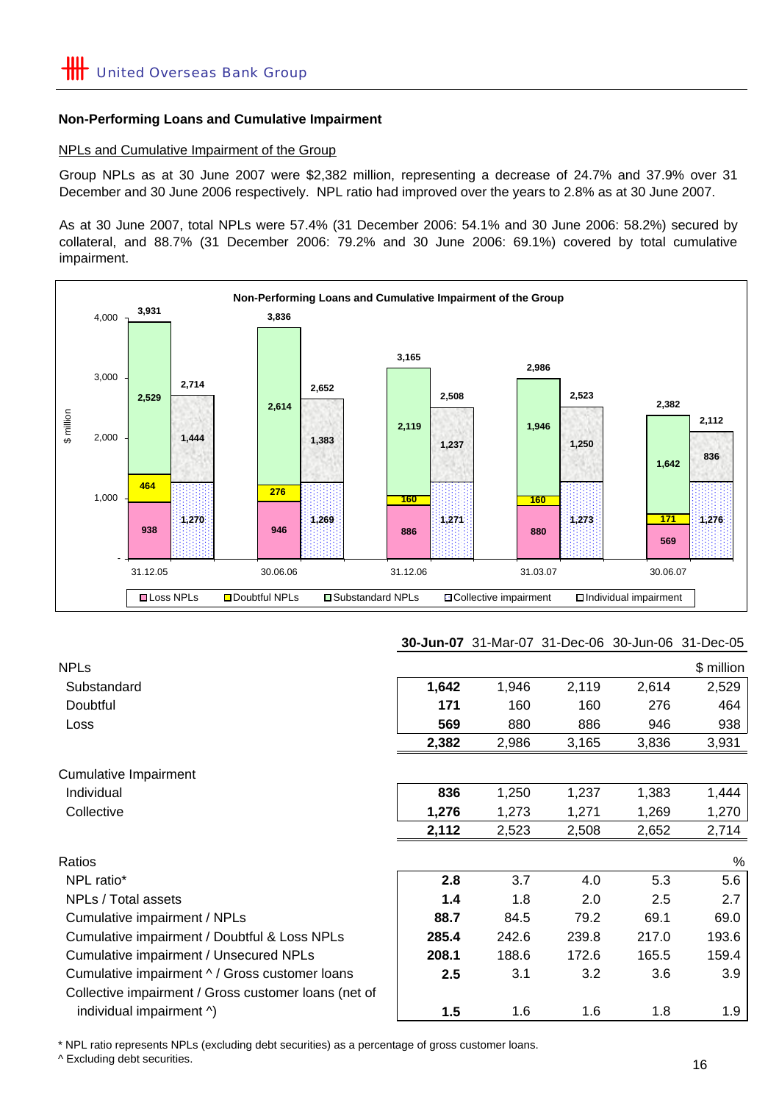### **Non-Performing Loans and Cumulative Impairment**

#### NPLs and Cumulative Impairment of the Group

Group NPLs as at 30 June 2007 were \$2,382 million, representing a decrease of 24.7% and 37.9% over 31 December and 30 June 2006 respectively. NPL ratio had improved over the years to 2.8% as at 30 June 2007.

As at 30 June 2007, total NPLs were 57.4% (31 December 2006: 54.1% and 30 June 2006: 58.2%) secured by collateral, and 88.7% (31 December 2006: 79.2% and 30 June 2006: 69.1%) covered by total cumulative impairment.



#### **30-Jun-07** 31-Mar-07 31-Dec-06 30-Jun-06 31-Dec-05

| <b>NPLs</b>                                          |       |       |       |       | \$ million |
|------------------------------------------------------|-------|-------|-------|-------|------------|
| Substandard                                          | 1,642 | 1,946 | 2,119 | 2,614 | 2,529      |
| Doubtful                                             | 171   | 160   | 160   | 276   | 464        |
| <b>Loss</b>                                          | 569   | 880   | 886   | 946   | 938        |
|                                                      | 2,382 | 2,986 | 3,165 | 3,836 | 3,931      |
| <b>Cumulative Impairment</b>                         |       |       |       |       |            |
| Individual                                           | 836   | 1,250 | 1,237 | 1,383 | 1,444      |
| Collective                                           | 1,276 | 1,273 | 1,271 | 1,269 | 1,270      |
|                                                      | 2,112 | 2,523 | 2,508 | 2,652 | 2,714      |
| Ratios                                               |       |       |       |       | %          |
| NPL ratio*                                           | 2.8   | 3.7   | 4.0   | 5.3   | 5.6        |
| NPLs / Total assets                                  | 1.4   | 1.8   | 2.0   | 2.5   | 2.7        |
| Cumulative impairment / NPLs                         | 88.7  | 84.5  | 79.2  | 69.1  | 69.0       |
| Cumulative impairment / Doubtful & Loss NPLs         | 285.4 | 242.6 | 239.8 | 217.0 | 193.6      |
| Cumulative impairment / Unsecured NPLs               | 208.1 | 188.6 | 172.6 | 165.5 | 159.4      |
| Cumulative impairment ^ / Gross customer loans       | 2.5   | 3.1   | 3.2   | 3.6   | 3.9        |
| Collective impairment / Gross customer loans (net of |       |       |       |       |            |
| individual impairment ^)                             | 1.5   | 1.6   | 1.6   | 1.8   | 1.9        |

\* NPL ratio represents NPLs (excluding debt securities) as a percentage of gross customer loans.

^ Excluding debt securities.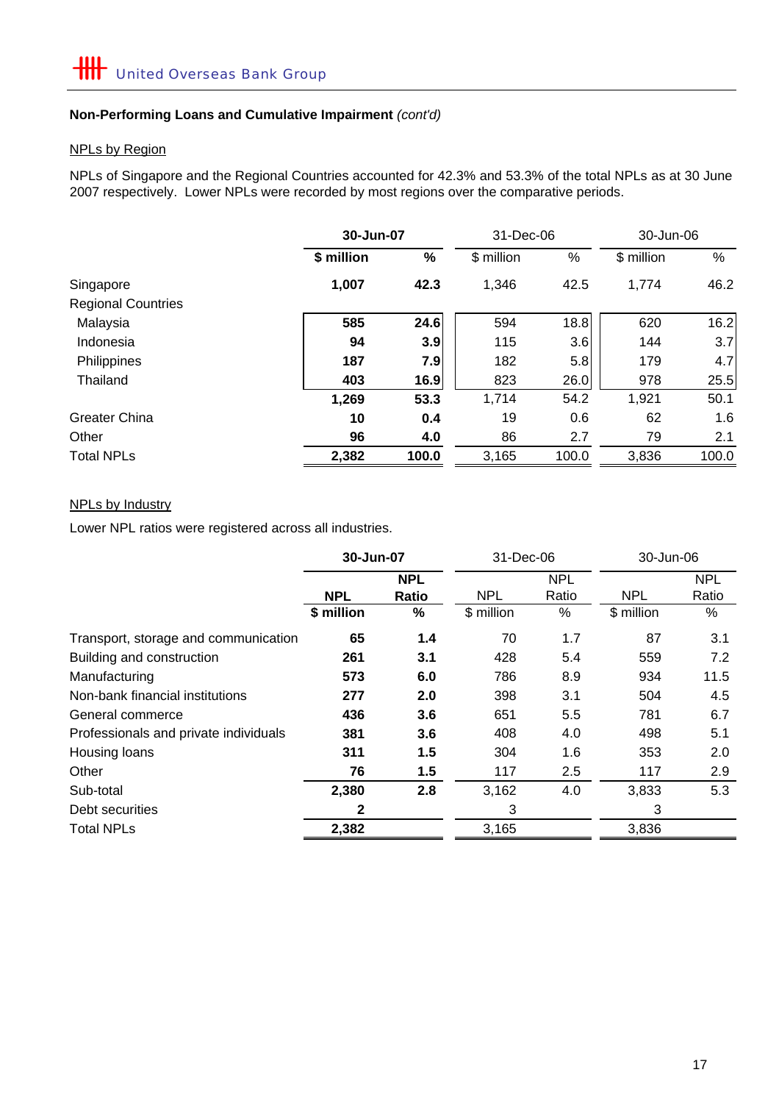# **Non-Performing Loans and Cumulative Impairment** *(cont'd)*

### NPLs by Region

NPLs of Singapore and the Regional Countries accounted for 42.3% and 53.3% of the total NPLs as at 30 June 2007 respectively. Lower NPLs were recorded by most regions over the comparative periods.

|                           |            | 30-Jun-07 |            | 31-Dec-06 |            | 30-Jun-06 |  |
|---------------------------|------------|-----------|------------|-----------|------------|-----------|--|
|                           | \$ million | %         | \$ million | %         | \$ million | $\%$      |  |
| Singapore                 | 1,007      | 42.3      | 1,346      | 42.5      | 1,774      | 46.2      |  |
| <b>Regional Countries</b> |            |           |            |           |            |           |  |
| Malaysia                  | 585        | 24.6      | 594        | 18.8      | 620        | 16.2      |  |
| Indonesia                 | 94         | 3.9       | 115        | 3.6       | 144        | 3.7       |  |
| Philippines               | 187        | 7.9       | 182        | 5.8       | 179        | 4.7       |  |
| Thailand                  | 403        | 16.9      | 823        | 26.0      | 978        | 25.5      |  |
|                           | 1,269      | 53.3      | 1,714      | 54.2      | 1,921      | 50.1      |  |
| <b>Greater China</b>      | 10         | 0.4       | 19         | 0.6       | 62         | 1.6       |  |
| Other                     | 96         | 4.0       | 86         | 2.7       | 79         | 2.1       |  |
| <b>Total NPLs</b>         | 2,382      | 100.0     | 3,165      | 100.0     | 3,836      | 100.0     |  |

# NPLs by Industry

Lower NPL ratios were registered across all industries.

|                                       | 30-Jun-07    |            | 31-Dec-06  |            | 30-Jun-06  |            |
|---------------------------------------|--------------|------------|------------|------------|------------|------------|
|                                       |              | <b>NPL</b> |            | <b>NPL</b> |            | <b>NPL</b> |
|                                       | <b>NPL</b>   | Ratio      | <b>NPL</b> | Ratio      | <b>NPL</b> | Ratio      |
|                                       | \$ million   | ℅          | \$ million | %          | \$ million | %          |
| Transport, storage and communication  | 65           | 1.4        | 70         | 1.7        | 87         | 3.1        |
| Building and construction             | 261          | 3.1        | 428        | 5.4        | 559        | 7.2        |
| Manufacturing                         | 573          | 6.0        | 786        | 8.9        | 934        | 11.5       |
| Non-bank financial institutions       | 277          | 2.0        | 398        | 3.1        | 504        | 4.5        |
| General commerce                      | 436          | 3.6        | 651        | 5.5        | 781        | 6.7        |
| Professionals and private individuals | 381          | 3.6        | 408        | 4.0        | 498        | 5.1        |
| Housing loans                         | 311          | 1.5        | 304        | 1.6        | 353        | 2.0        |
| Other                                 | 76           | 1.5        | 117        | 2.5        | 117        | 2.9        |
| Sub-total                             | 2,380        | 2.8        | 3,162      | 4.0        | 3,833      | 5.3        |
| Debt securities                       | $\mathbf{2}$ |            | 3          |            | 3          |            |
| <b>Total NPLs</b>                     | 2,382        |            | 3,165      |            | 3,836      |            |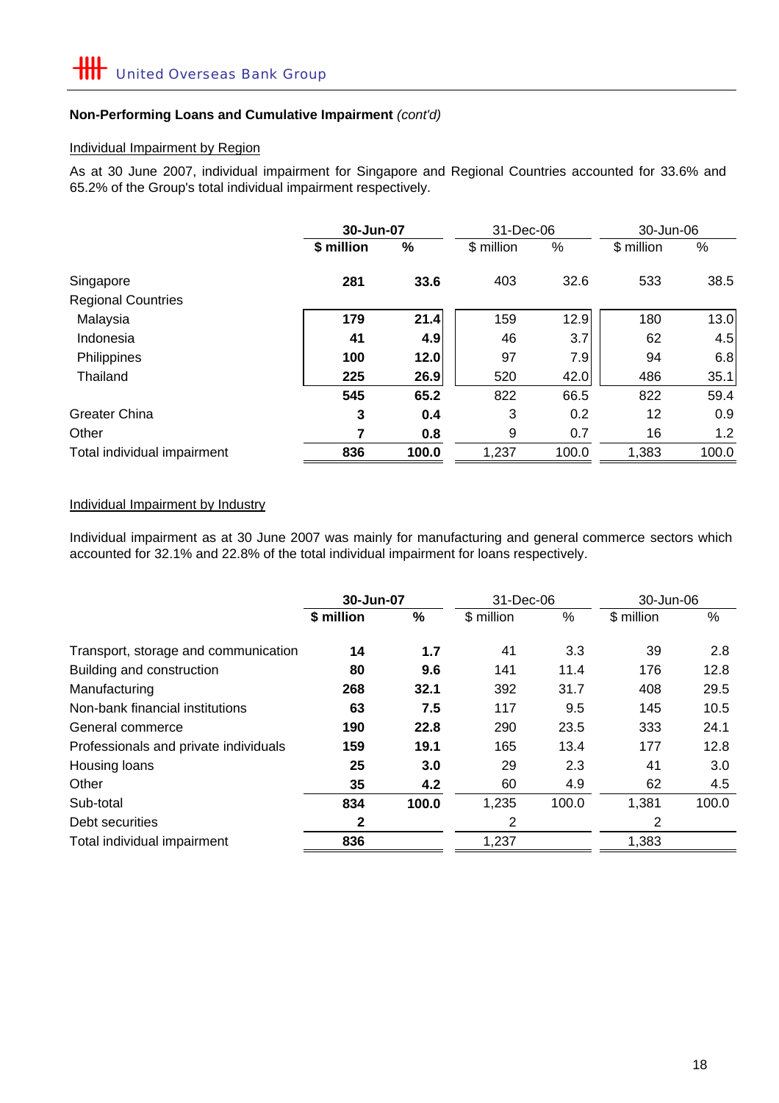# **Non-Performing Loans and Cumulative Impairment** *(cont'd)*

### Individual Impairment by Region

As at 30 June 2007, individual impairment for Singapore and Regional Countries accounted for 33.6% and 65.2% of the Group's total individual impairment respectively.

|                             |            | 30-Jun-07<br>31-Dec-06 |            |       |            | 30-Jun-06 |
|-----------------------------|------------|------------------------|------------|-------|------------|-----------|
|                             | \$ million | %                      | \$ million | %     | \$ million | %         |
| Singapore                   | 281        | 33.6                   | 403        | 32.6  | 533        | 38.5      |
| <b>Regional Countries</b>   |            |                        |            |       |            |           |
| Malaysia                    | 179        | 21.4                   | 159        | 12.9  | 180        | 13.0      |
| Indonesia                   | 41         | 4.9                    | 46         | 3.7   | 62         | 4.5       |
| Philippines                 | 100        | 12.0                   | 97         | 7.9   | 94         | 6.8       |
| Thailand                    | 225        | 26.9                   | 520        | 42.0  | 486        | 35.1      |
|                             | 545        | 65.2                   | 822        | 66.5  | 822        | 59.4      |
| <b>Greater China</b>        | 3          | 0.4                    | 3          | 0.2   | 12         | 0.9       |
| Other                       | 7          | 0.8                    | 9          | 0.7   | 16         | 1.2       |
| Total individual impairment | 836        | 100.0                  | 1,237      | 100.0 | 1,383      | 100.0     |

# Individual Impairment by Industry

Individual impairment as at 30 June 2007 was mainly for manufacturing and general commerce sectors which accounted for 32.1% and 22.8% of the total individual impairment for loans respectively.

|                                       | 30-Jun-07    |       | 31-Dec-06  |       | 30-Jun-06  |       |
|---------------------------------------|--------------|-------|------------|-------|------------|-------|
|                                       | \$ million   | %     | \$ million | %     | \$ million | %     |
| Transport, storage and communication  | 14           | 1.7   | 41         | 3.3   | 39         | 2.8   |
| Building and construction             | 80           | 9.6   | 141        | 11.4  | 176        | 12.8  |
| Manufacturing                         | 268          | 32.1  | 392        | 31.7  | 408        | 29.5  |
| Non-bank financial institutions       | 63           | 7.5   | 117        | 9.5   | 145        | 10.5  |
| General commerce                      | 190          | 22.8  | 290        | 23.5  | 333        | 24.1  |
| Professionals and private individuals | 159          | 19.1  | 165        | 13.4  | 177        | 12.8  |
| Housing loans                         | 25           | 3.0   | 29         | 2.3   | 41         | 3.0   |
| Other                                 | 35           | 4.2   | 60         | 4.9   | 62         | 4.5   |
| Sub-total                             | 834          | 100.0 | 1,235      | 100.0 | 1,381      | 100.0 |
| Debt securities                       | $\mathbf{2}$ |       | 2          |       | 2          |       |
| Total individual impairment           | 836          |       | 1,237      |       | 1,383      |       |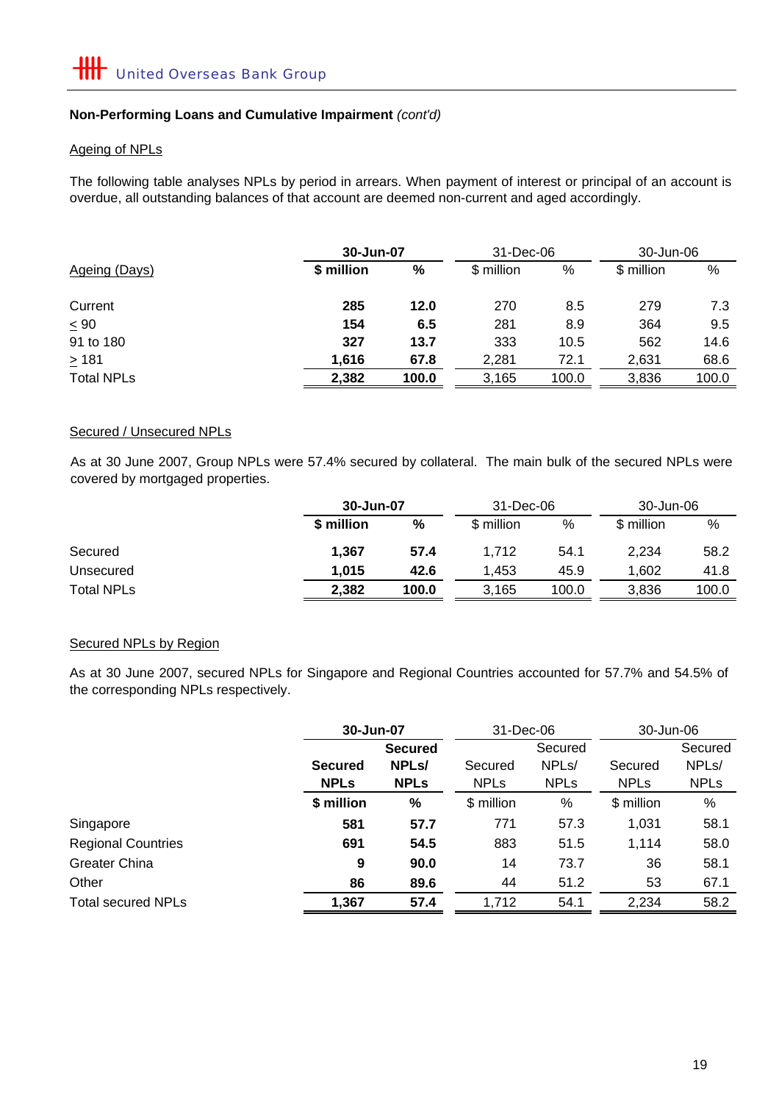# **Non-Performing Loans and Cumulative Impairment** *(cont'd)*

### Ageing of NPLs

The following table analyses NPLs by period in arrears. When payment of interest or principal of an account is overdue, all outstanding balances of that account are deemed non-current and aged accordingly.

|                   |            | 30-Jun-07 |            |       | 30-Jun-06  |       |
|-------------------|------------|-----------|------------|-------|------------|-------|
| Ageing (Days)     | \$ million | %         | \$ million | %     | \$ million | %     |
| Current           | 285        | 12.0      | 270        | 8.5   | 279        | 7.3   |
| $\leq 90$         | 154        | 6.5       | 281        | 8.9   | 364        | 9.5   |
| 91 to 180         | 327        | 13.7      | 333        | 10.5  | 562        | 14.6  |
| $\geq 181$        | 1,616      | 67.8      | 2,281      | 72.1  | 2,631      | 68.6  |
| <b>Total NPLs</b> | 2,382      | 100.0     | 3,165      | 100.0 | 3,836      | 100.0 |

#### Secured / Unsecured NPLs

As at 30 June 2007, Group NPLs were 57.4% secured by collateral. The main bulk of the secured NPLs were covered by mortgaged properties.

|                   |            | 30-Jun-07 |            | 31-Dec-06 | 30-Jun-06  |       |
|-------------------|------------|-----------|------------|-----------|------------|-------|
|                   | \$ million | %         | \$ million | %         | \$ million | %     |
| Secured           | 1.367      | 57.4      | 1.712      | 54.1      | 2,234      | 58.2  |
| Unsecured         | 1.015      | 42.6      | 1,453      | 45.9      | 1.602      | 41.8  |
| <b>Total NPLs</b> | 2,382      | 100.0     | 3,165      | 100.0     | 3.836      | 100.0 |

### Secured NPLs by Region

As at 30 June 2007, secured NPLs for Singapore and Regional Countries accounted for 57.7% and 54.5% of the corresponding NPLs respectively.

|                           | 30-Jun-07      |                    | 31-Dec-06   |                    | 30-Jun-06              |                    |  |
|---------------------------|----------------|--------------------|-------------|--------------------|------------------------|--------------------|--|
|                           |                | <b>Secured</b>     |             | Secured            |                        | Secured            |  |
|                           | <b>Secured</b> | NPL <sub>s</sub> / | Secured     | NPL <sub>s</sub> / | Secured                | NPL <sub>s</sub> / |  |
|                           | <b>NPLs</b>    | <b>NPLs</b>        | <b>NPLs</b> | <b>NPLs</b>        | <b>NPL<sub>s</sub></b> | <b>NPLs</b>        |  |
|                           | \$ million     | %                  | \$ million  | %                  | \$ million             | %                  |  |
| Singapore                 | 581            | 57.7               | 771         | 57.3               | 1,031                  | 58.1               |  |
| <b>Regional Countries</b> | 691            | 54.5               | 883         | 51.5               | 1,114                  | 58.0               |  |
| <b>Greater China</b>      | 9              | 90.0               | 14          | 73.7               | 36                     | 58.1               |  |
| Other                     | 86             | 89.6               | 44          | 51.2               | 53                     | 67.1               |  |
| <b>Total secured NPLs</b> | 1,367          | 57.4               | 1,712       | 54.1               | 2,234                  | 58.2               |  |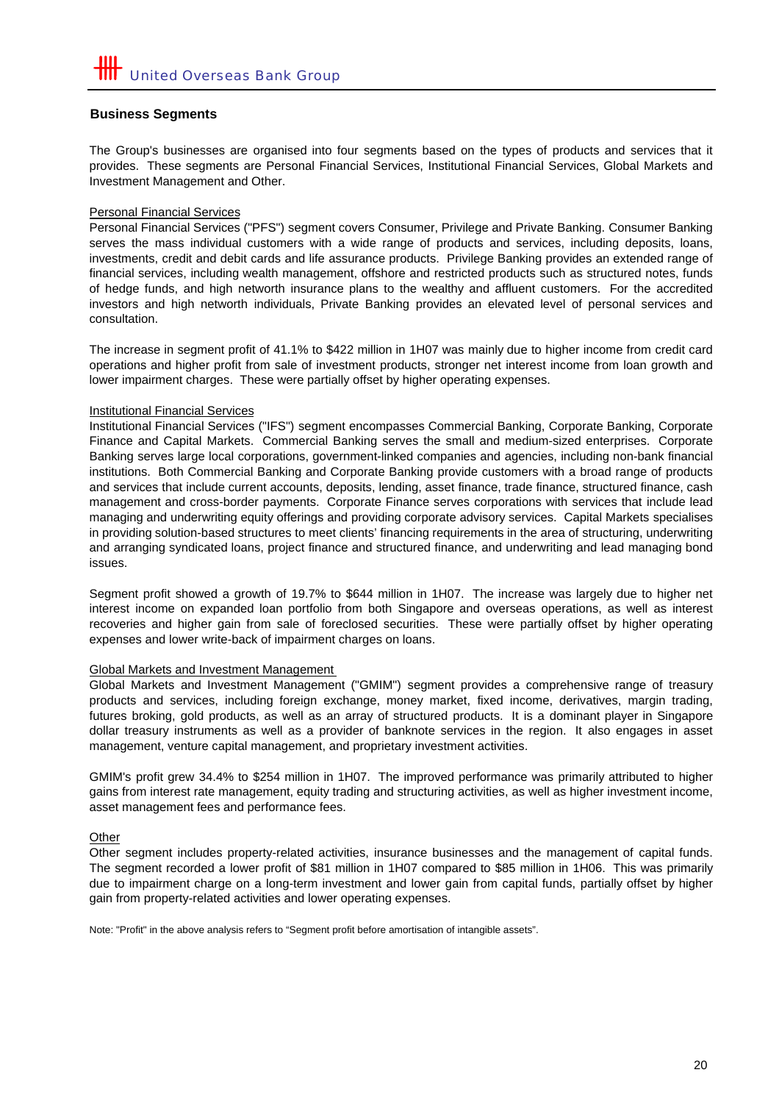#### **Business Segments**

The Group's businesses are organised into four segments based on the types of products and services that it provides. These segments are Personal Financial Services, Institutional Financial Services, Global Markets and Investment Management and Other.

#### Personal Financial Services

Personal Financial Services ("PFS") segment covers Consumer, Privilege and Private Banking. Consumer Banking serves the mass individual customers with a wide range of products and services, including deposits, loans, investments, credit and debit cards and life assurance products. Privilege Banking provides an extended range of financial services, including wealth management, offshore and restricted products such as structured notes, funds of hedge funds, and high networth insurance plans to the wealthy and affluent customers. For the accredited investors and high networth individuals, Private Banking provides an elevated level of personal services and consultation.

The increase in segment profit of 41.1% to \$422 million in 1H07 was mainly due to higher income from credit card operations and higher profit from sale of investment products, stronger net interest income from loan growth and lower impairment charges. These were partially offset by higher operating expenses.

#### Institutional Financial Services

Institutional Financial Services ("IFS") segment encompasses Commercial Banking, Corporate Banking, Corporate Finance and Capital Markets. Commercial Banking serves the small and medium-sized enterprises. Corporate Banking serves large local corporations, government-linked companies and agencies, including non-bank financial institutions. Both Commercial Banking and Corporate Banking provide customers with a broad range of products and services that include current accounts, deposits, lending, asset finance, trade finance, structured finance, cash management and cross-border payments. Corporate Finance serves corporations with services that include lead managing and underwriting equity offerings and providing corporate advisory services. Capital Markets specialises in providing solution-based structures to meet clients' financing requirements in the area of structuring, underwriting and arranging syndicated loans, project finance and structured finance, and underwriting and lead managing bond issues.

Segment profit showed a growth of 19.7% to \$644 million in 1H07. The increase was largely due to higher net interest income on expanded loan portfolio from both Singapore and overseas operations, as well as interest recoveries and higher gain from sale of foreclosed securities. These were partially offset by higher operating expenses and lower write-back of impairment charges on loans.

#### Global Markets and Investment Management

Global Markets and Investment Management ("GMIM") segment provides a comprehensive range of treasury products and services, including foreign exchange, money market, fixed income, derivatives, margin trading, futures broking, gold products, as well as an array of structured products. It is a dominant player in Singapore dollar treasury instruments as well as a provider of banknote services in the region. It also engages in asset management, venture capital management, and proprietary investment activities.

GMIM's profit grew 34.4% to \$254 million in 1H07. The improved performance was primarily attributed to higher gains from interest rate management, equity trading and structuring activities, as well as higher investment income, asset management fees and performance fees.

#### **Other**

Other segment includes property-related activities, insurance businesses and the management of capital funds. The segment recorded a lower profit of \$81 million in 1H07 compared to \$85 million in 1H06. This was primarily due to impairment charge on a long-term investment and lower gain from capital funds, partially offset by higher gain from property-related activities and lower operating expenses.

Note: "Profit" in the above analysis refers to "Segment profit before amortisation of intangible assets".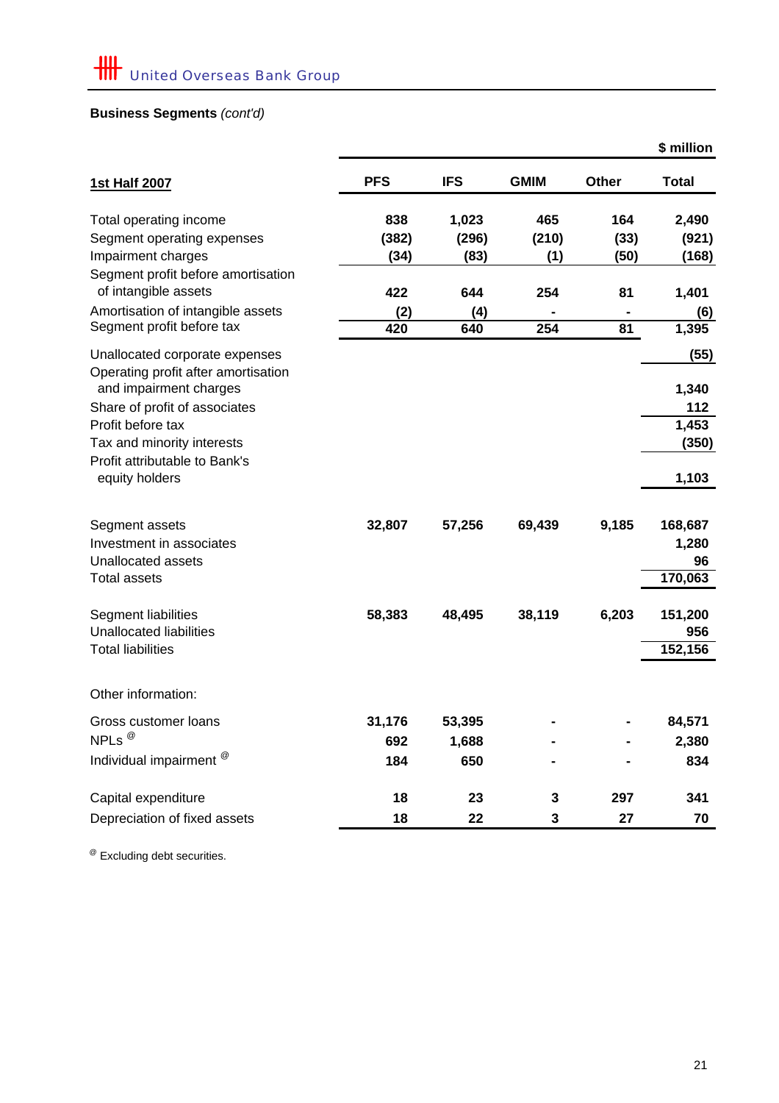# **Business Segments** *(cont'd)*

|                                                                       |            |            |             |              | \$ million     |
|-----------------------------------------------------------------------|------------|------------|-------------|--------------|----------------|
| <b>1st Half 2007</b>                                                  | <b>PFS</b> | <b>IFS</b> | <b>GMIM</b> | <b>Other</b> | <b>Total</b>   |
| Total operating income                                                | 838        | 1,023      | 465         | 164          | 2,490          |
| Segment operating expenses                                            | (382)      | (296)      | (210)       | (33)         | (921)          |
| Impairment charges                                                    | (34)       | (83)       | (1)         | (50)         | (168)          |
| Segment profit before amortisation<br>of intangible assets            | 422        | 644        | 254         | 81           | 1,401          |
| Amortisation of intangible assets                                     | (2)        | (4)        |             |              | (6)            |
| Segment profit before tax                                             | 420        | 640        | 254         | 81           | 1,395          |
| Unallocated corporate expenses<br>Operating profit after amortisation |            |            |             |              | (55)           |
| and impairment charges                                                |            |            |             |              | 1,340          |
| Share of profit of associates                                         |            |            |             |              | 112            |
| Profit before tax                                                     |            |            |             |              | 1,453          |
| Tax and minority interests                                            |            |            |             |              | (350)          |
| Profit attributable to Bank's<br>equity holders                       |            |            |             |              | 1,103          |
| Segment assets                                                        | 32,807     | 57,256     | 69,439      | 9,185        | 168,687        |
| Investment in associates                                              |            |            |             |              | 1,280          |
| Unallocated assets                                                    |            |            |             |              | 96             |
| <b>Total assets</b>                                                   |            |            |             |              | 170,063        |
| Segment liabilities<br><b>Unallocated liabilities</b>                 | 58,383     | 48,495     | 38,119      | 6,203        | 151,200<br>956 |
| <b>Total liabilities</b>                                              |            |            |             |              | 152,156        |
| Other information:                                                    |            |            |             |              |                |
| Gross customer loans                                                  | 31,176     | 53,395     |             |              | 84,571         |
| NPLs <sup>@</sup>                                                     | 692        | 1,688      |             |              | 2,380          |
| Individual impairment <sup>@</sup>                                    | 184        | 650        |             |              | 834            |
| Capital expenditure                                                   | 18         | 23         | 3           | 297          | 341            |
| Depreciation of fixed assets                                          | 18         | 22         | 3           | 27           | 70             |

<sup>@</sup> Excluding debt securities.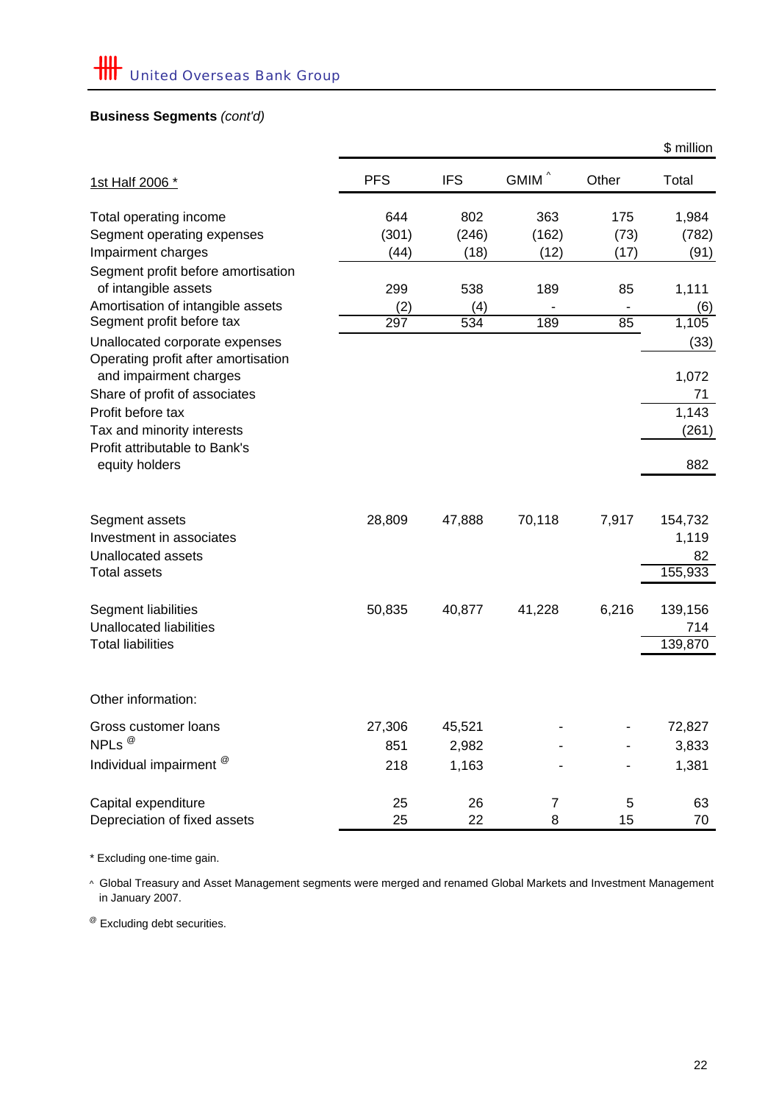# **Business Segments** *(cont'd)*

|                                                                       |            |            |                   |       | \$ million    |
|-----------------------------------------------------------------------|------------|------------|-------------------|-------|---------------|
| 1st Half 2006 *                                                       | <b>PFS</b> | <b>IFS</b> | GMIM <sup>^</sup> | Other | Total         |
| Total operating income                                                | 644        | 802        | 363               | 175   | 1,984         |
| Segment operating expenses                                            | (301)      | (246)      | (162)             | (73)  | (782)         |
| Impairment charges                                                    | (44)       | (18)       | (12)              | (17)  | (91)          |
| Segment profit before amortisation<br>of intangible assets            | 299        | 538        | 189               | 85    | 1,111         |
| Amortisation of intangible assets                                     | (2)        | (4)        |                   |       | (6)           |
| Segment profit before tax                                             | 297        | 534        | 189               | 85    | 1,105         |
| Unallocated corporate expenses<br>Operating profit after amortisation |            |            |                   |       | (33)          |
| and impairment charges                                                |            |            |                   |       | 1,072         |
| Share of profit of associates                                         |            |            |                   |       | 71            |
| Profit before tax                                                     |            |            |                   |       | 1,143         |
| Tax and minority interests                                            |            |            |                   |       | (261)         |
| Profit attributable to Bank's<br>equity holders                       |            |            |                   |       | 882           |
|                                                                       |            |            |                   |       |               |
| Segment assets                                                        | 28,809     | 47,888     | 70,118            | 7,917 | 154,732       |
| Investment in associates                                              |            |            |                   |       | 1,119         |
| <b>Unallocated assets</b><br><b>Total assets</b>                      |            |            |                   |       | 82<br>155,933 |
|                                                                       |            |            |                   |       |               |
| Segment liabilities                                                   | 50,835     | 40,877     | 41,228            | 6,216 | 139,156       |
| <b>Unallocated liabilities</b>                                        |            |            |                   |       | 714           |
| <b>Total liabilities</b>                                              |            |            |                   |       | 139,870       |
| Other information:                                                    |            |            |                   |       |               |
| Gross customer loans                                                  | 27,306     | 45,521     |                   |       | 72,827        |
| NPLs <sup>@</sup>                                                     | 851        | 2,982      |                   |       | 3,833         |
| Individual impairment <sup>@</sup>                                    | 218        | 1,163      |                   |       | 1,381         |
| Capital expenditure                                                   | 25         | 26         | 7                 | 5     | 63            |
| Depreciation of fixed assets                                          | 25         | 22         | 8                 | 15    | 70            |

\* Excluding one-time gain.

 in January 2007. ^ Global Treasury and Asset Management segments were merged and renamed Global Markets and Investment Management

@ Excluding debt securities.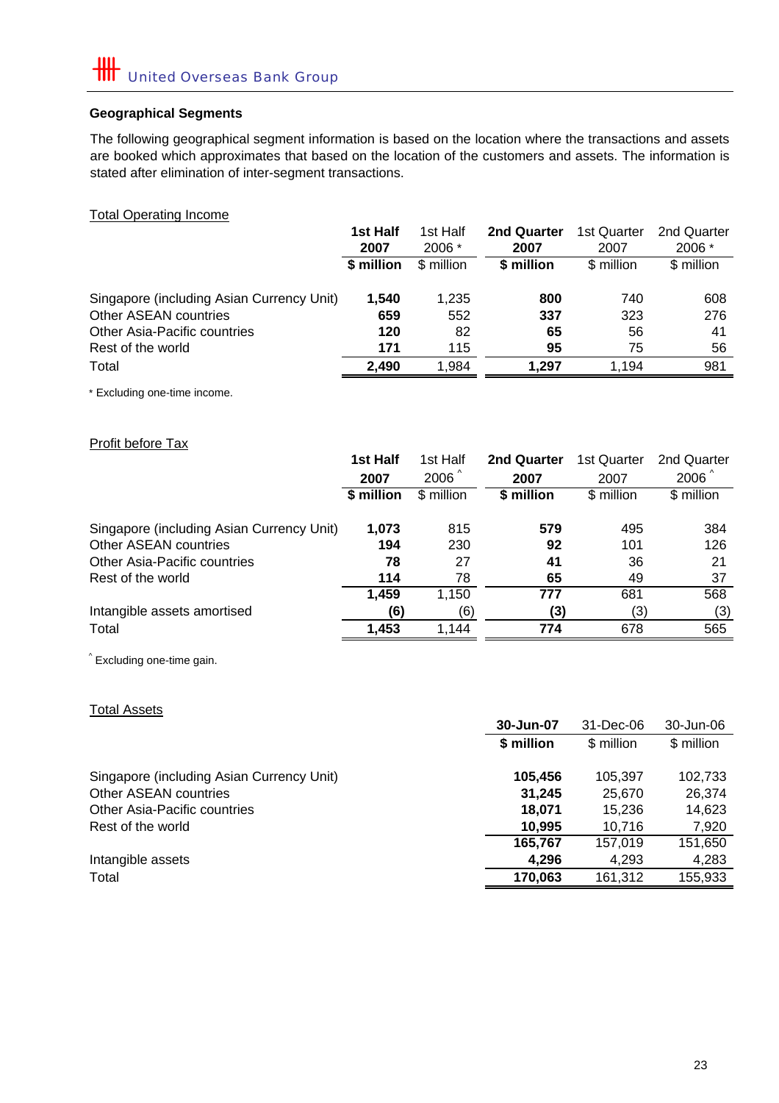# **Geographical Segments**

The following geographical segment information is based on the location where the transactions and assets are booked which approximates that based on the location of the customers and assets. The information is stated after elimination of inter-segment transactions.

Total Operating Income

|                                           | 1st Half   | 1st Half   | <b>2nd Quarter</b> | 1st Quarter | 2nd Quarter |
|-------------------------------------------|------------|------------|--------------------|-------------|-------------|
|                                           | 2007       | 2006 *     | 2007               | 2007        | 2006 *      |
|                                           | \$ million | \$ million | \$ million         | \$ million  | \$ million  |
| Singapore (including Asian Currency Unit) | 1.540      | 1.235      | 800                | 740         | 608         |
| Other ASEAN countries                     | 659        | 552        | 337                | 323         | 276         |
| <b>Other Asia-Pacific countries</b>       | 120        | 82         | 65                 | 56          | 41          |
| Rest of the world                         | 171        | 115        | 95                 | 75          | 56          |
| Total                                     | 2.490      | 1.984      | 1.297              | 1.194       | 981         |

\* Excluding one-time income.

# Profit before Tax

|                                           | 1st Half   | 1st Half         | 2nd Quarter | 1st Quarter | 2nd Quarter      |
|-------------------------------------------|------------|------------------|-------------|-------------|------------------|
|                                           | 2007       | $2006^{\degree}$ | 2007        | 2007        | $2006^{\degree}$ |
|                                           | \$ million | $$$ million      | \$ million  | \$ million  | \$ million       |
|                                           |            |                  |             |             |                  |
| Singapore (including Asian Currency Unit) | 1,073      | 815              | 579         | 495         | 384              |
| Other ASEAN countries                     | 194        | 230              | 92          | 101         | 126              |
| <b>Other Asia-Pacific countries</b>       | 78         | 27               | 41          | 36          | 21               |
| Rest of the world                         | 114        | 78               | 65          | 49          | 37               |
|                                           | 1,459      | 1,150            | 777         | 681         | 568              |
| Intangible assets amortised               | (6)        | (6)              | (3)         | (3)         | (3)              |
| Total                                     | 1,453      | 1.144            | 774         | 678         | 565              |
|                                           |            |                  |             |             |                  |

^ Excluding one-time gain.

| <b>Total Assets</b>                       |            |            |            |
|-------------------------------------------|------------|------------|------------|
|                                           | 30-Jun-07  | 31-Dec-06  | 30-Jun-06  |
|                                           | \$ million | \$ million | \$ million |
| Singapore (including Asian Currency Unit) | 105,456    | 105,397    | 102,733    |
| Other ASEAN countries                     | 31,245     | 25,670     | 26,374     |
| Other Asia-Pacific countries              | 18,071     | 15.236     | 14,623     |
| Rest of the world                         | 10,995     | 10,716     | 7,920      |
|                                           | 165,767    | 157,019    | 151,650    |
| Intangible assets                         | 4,296      | 4.293      | 4,283      |
| Total                                     | 170,063    | 161,312    | 155,933    |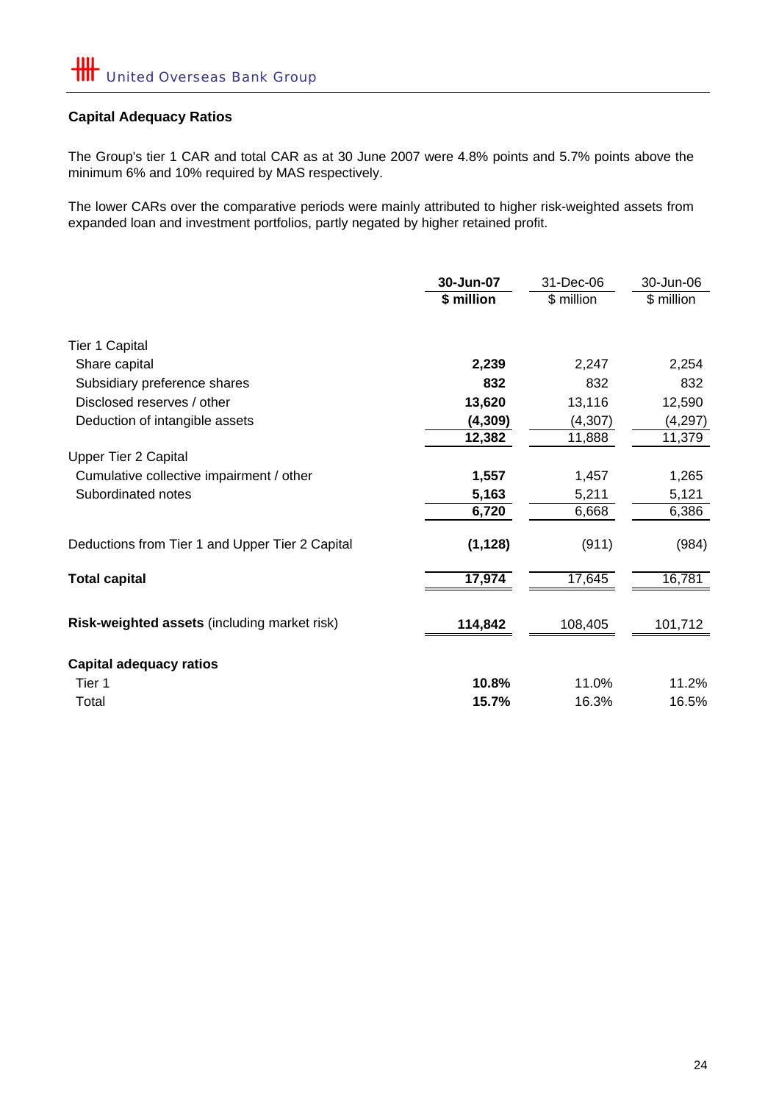# **Capital Adequacy Ratios**

The Group's tier 1 CAR and total CAR as at 30 June 2007 were 4.8% points and 5.7% points above the minimum 6% and 10% required by MAS respectively.

The lower CARs over the comparative periods were mainly attributed to higher risk-weighted assets from expanded loan and investment portfolios, partly negated by higher retained profit.

|                                                 | 30-Jun-07  | 31-Dec-06   | 30-Jun-06  |
|-------------------------------------------------|------------|-------------|------------|
|                                                 | \$ million | $$$ million | \$ million |
|                                                 |            |             |            |
| Tier 1 Capital                                  |            |             |            |
| Share capital                                   | 2,239      | 2,247       | 2,254      |
| Subsidiary preference shares                    | 832        | 832         | 832        |
| Disclosed reserves / other                      | 13,620     | 13,116      | 12,590     |
| Deduction of intangible assets                  | (4, 309)   | (4, 307)    | (4, 297)   |
|                                                 | 12,382     | 11,888      | 11,379     |
| <b>Upper Tier 2 Capital</b>                     |            |             |            |
| Cumulative collective impairment / other        | 1,557      | 1,457       | 1,265      |
| Subordinated notes                              | 5,163      | 5,211       | 5,121      |
|                                                 | 6,720      | 6,668       | 6,386      |
| Deductions from Tier 1 and Upper Tier 2 Capital | (1, 128)   | (911)       | (984)      |
| <b>Total capital</b>                            | 17,974     | 17,645      | 16,781     |
| Risk-weighted assets (including market risk)    | 114,842    | 108,405     | 101,712    |
|                                                 |            |             |            |
| <b>Capital adequacy ratios</b>                  |            |             |            |
| Tier 1                                          | 10.8%      | 11.0%       | 11.2%      |
| Total                                           | 15.7%      | 16.3%       | 16.5%      |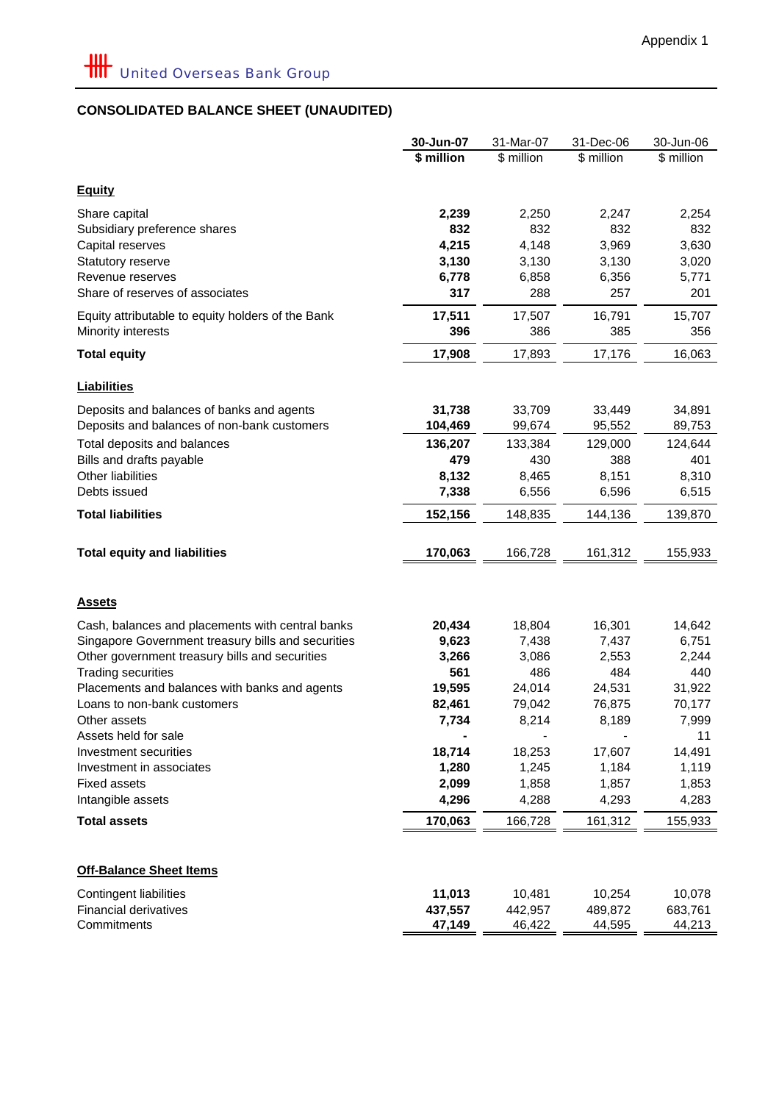# **CONSOLIDATED BALANCE SHEET (UNAUDITED)**

|                                                                             | 30-Jun-07      | 31-Mar-07      | 31-Dec-06      | 30-Jun-06      |
|-----------------------------------------------------------------------------|----------------|----------------|----------------|----------------|
|                                                                             | \$ million     | \$ million     | \$ million     | \$ million     |
| <b>Equity</b>                                                               |                |                |                |                |
| Share capital                                                               |                | 2,250          |                |                |
| Subsidiary preference shares                                                | 2,239<br>832   | 832            | 2,247<br>832   | 2,254<br>832   |
| Capital reserves                                                            | 4,215          | 4,148          | 3,969          | 3,630          |
| Statutory reserve                                                           | 3,130          | 3,130          | 3,130          | 3,020          |
| Revenue reserves                                                            | 6,778          | 6,858          | 6,356          | 5,771          |
| Share of reserves of associates                                             | 317            | 288            | 257            | 201            |
| Equity attributable to equity holders of the Bank                           | 17,511         | 17,507         | 16,791         | 15,707         |
| Minority interests                                                          | 396            | 386            | 385            | 356            |
| <b>Total equity</b>                                                         | 17,908         | 17,893         | 17,176         | 16,063         |
| <b>Liabilities</b>                                                          |                |                |                |                |
| Deposits and balances of banks and agents                                   | 31,738         | 33,709         | 33,449         | 34,891         |
| Deposits and balances of non-bank customers                                 | 104,469        | 99,674         | 95,552         | 89,753         |
| Total deposits and balances                                                 | 136,207        | 133,384        | 129,000        | 124,644        |
| Bills and drafts payable                                                    | 479            | 430            | 388            | 401            |
| Other liabilities                                                           | 8,132          | 8,465          | 8,151          | 8,310          |
| Debts issued                                                                | 7,338          | 6,556          | 6,596          | 6,515          |
| <b>Total liabilities</b>                                                    | 152,156        | 148,835        | 144,136        | 139,870        |
| <b>Total equity and liabilities</b>                                         | 170,063        | 166,728        | 161,312        | 155,933        |
| <u>Assets</u>                                                               |                |                |                |                |
|                                                                             |                |                |                |                |
| Cash, balances and placements with central banks                            | 20,434         | 18,804         | 16,301         | 14,642         |
| Singapore Government treasury bills and securities                          | 9,623<br>3,266 | 7,438<br>3,086 | 7,437<br>2,553 | 6,751<br>2,244 |
| Other government treasury bills and securities<br><b>Trading securities</b> | 561            | 486            | 484            | 440            |
| Placements and balances with banks and agents                               | 19,595         | 24,014         | 24,531         | 31,922         |
| Loans to non-bank customers                                                 | 82,461         | 79,042         | 76,875         | 70,177         |
| Other assets                                                                | 7,734          | 8,214          | 8,189          | 7,999          |
| Assets held for sale                                                        |                |                |                | 11             |
| Investment securities                                                       | 18,714         | 18,253         | 17,607         | 14,491         |
| Investment in associates                                                    | 1,280          | 1,245          | 1,184          | 1,119          |
| <b>Fixed assets</b>                                                         | 2,099          | 1,858          | 1,857          | 1,853          |
| Intangible assets                                                           | 4,296          | 4,288          | 4,293          | 4,283          |
| <b>Total assets</b>                                                         | 170,063        | 166,728        | 161,312        | 155,933        |
|                                                                             |                |                |                |                |
| <b>Off-Balance Sheet Items</b>                                              |                |                |                |                |
| <b>Contingent liabilities</b>                                               | 11,013         | 10,481         | 10,254         | 10,078         |
| <b>Financial derivatives</b>                                                | 437,557        | 442,957        | 489,872        | 683,761        |
| Commitments                                                                 | 47,149         | 46,422         | 44,595         | 44,213         |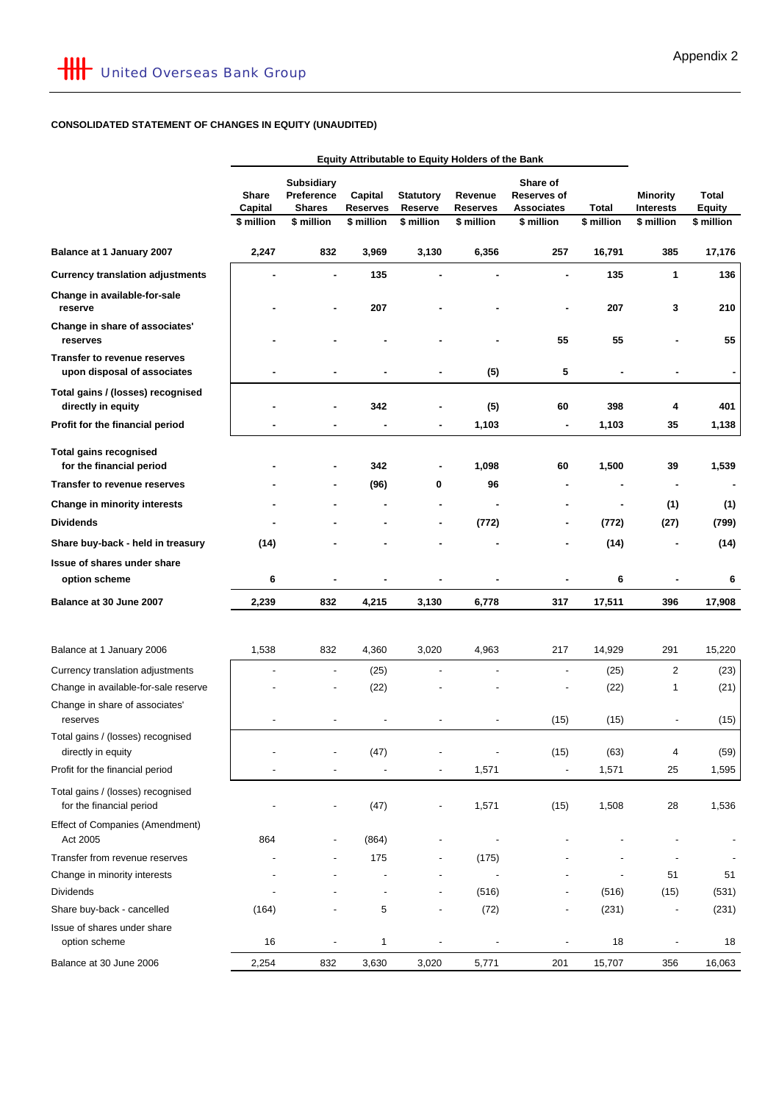# **CONSOLIDATED STATEMENT OF CHANGES IN EQUITY (UNAUDITED)**

|                                                                    | Equity Attributable to Equity Holders of the Bank |                                                  |                     |                              |                            |                                              |              |                                     |                               |
|--------------------------------------------------------------------|---------------------------------------------------|--------------------------------------------------|---------------------|------------------------------|----------------------------|----------------------------------------------|--------------|-------------------------------------|-------------------------------|
|                                                                    | Share<br>Capital                                  | <b>Subsidiary</b><br>Preference<br><b>Shares</b> | Capital<br>Reserves | <b>Statutory</b><br>Reserve  | Revenue<br><b>Reserves</b> | Share of<br>Reserves of<br><b>Associates</b> | <b>Total</b> | <b>Minority</b><br><b>Interests</b> | <b>Total</b><br><b>Equity</b> |
|                                                                    | \$ million                                        | \$ million                                       | \$ million          | \$ million                   | \$ million                 | \$ million                                   | \$ million   | \$ million                          | \$ million                    |
| Balance at 1 January 2007                                          | 2,247                                             | 832                                              | 3,969               | 3,130                        | 6,356                      | 257                                          | 16,791       | 385                                 | 17,176                        |
| <b>Currency translation adjustments</b>                            |                                                   |                                                  | 135                 |                              |                            |                                              | 135          | 1                                   | 136                           |
| Change in available-for-sale<br>reserve                            |                                                   |                                                  | 207                 |                              |                            |                                              | 207          | 3                                   | 210                           |
| Change in share of associates'<br>reserves                         |                                                   |                                                  |                     |                              |                            | 55                                           | 55           |                                     | 55                            |
| <b>Transfer to revenue reserves</b><br>upon disposal of associates |                                                   |                                                  |                     | ۰                            | (5)                        | 5                                            |              |                                     |                               |
| Total gains / (losses) recognised<br>directly in equity            |                                                   |                                                  | 342                 |                              | (5)                        | 60                                           | 398          | 4                                   | 401                           |
| Profit for the financial period                                    |                                                   |                                                  |                     |                              | 1,103                      |                                              | 1,103        | 35                                  | 1,138                         |
| <b>Total gains recognised</b><br>for the financial period          |                                                   |                                                  | 342                 |                              | 1,098                      | 60                                           | 1,500        | 39                                  | 1,539                         |
| <b>Transfer to revenue reserves</b>                                |                                                   |                                                  | (96)                | 0                            | 96                         |                                              |              |                                     |                               |
| Change in minority interests                                       |                                                   |                                                  |                     |                              |                            |                                              |              | (1)                                 | (1)                           |
| <b>Dividends</b>                                                   |                                                   |                                                  |                     |                              | (772)                      |                                              | (772)        | (27)                                | (799)                         |
| Share buy-back - held in treasury                                  | (14)                                              |                                                  |                     |                              |                            |                                              | (14)         |                                     | (14)                          |
| Issue of shares under share                                        |                                                   |                                                  |                     |                              |                            |                                              |              |                                     |                               |
| option scheme                                                      | 6                                                 |                                                  |                     |                              |                            |                                              | 6            |                                     | 6                             |
| Balance at 30 June 2007                                            | 2,239                                             | 832                                              | 4,215               | 3,130                        | 6,778                      | 317                                          | 17,511       | 396                                 | 17,908                        |
|                                                                    |                                                   |                                                  |                     |                              |                            |                                              |              |                                     |                               |
| Balance at 1 January 2006                                          | 1,538                                             | 832                                              | 4,360               | 3,020                        | 4,963                      | 217                                          | 14,929       | 291                                 | 15,220                        |
| Currency translation adjustments                                   |                                                   |                                                  | (25)                |                              |                            |                                              | (25)         | $\overline{2}$                      | (23)                          |
| Change in available-for-sale reserve                               |                                                   |                                                  | (22)                |                              |                            |                                              | (22)         | 1                                   | (21)                          |
| Change in share of associates'<br>reserves                         |                                                   |                                                  |                     |                              |                            | (15)                                         | (15)         |                                     | (15)                          |
| Total gains / (losses) recognised<br>directly in equity            |                                                   |                                                  | (47)                |                              |                            | (15)                                         | (63)         | 4                                   | (59)                          |
| Profit for the financial period                                    |                                                   |                                                  |                     |                              | 1,571                      |                                              | 1,571        | 25                                  | 1,595                         |
| Total gains / (losses) recognised<br>for the financial period      |                                                   |                                                  | (47)                | $\qquad \qquad \blacksquare$ | 1,571                      | (15)                                         | 1,508        | 28                                  | 1,536                         |
| Effect of Companies (Amendment)<br>Act 2005                        | 864                                               |                                                  | (864)               |                              |                            |                                              |              |                                     |                               |
| Transfer from revenue reserves                                     |                                                   |                                                  | 175                 |                              | (175)                      |                                              |              |                                     |                               |
| Change in minority interests                                       |                                                   |                                                  |                     |                              |                            |                                              |              | 51                                  | 51                            |
| Dividends                                                          |                                                   |                                                  |                     |                              | (516)                      |                                              | (516)        | (15)                                | (531)                         |
| Share buy-back - cancelled                                         | (164)                                             |                                                  | 5                   | $\qquad \qquad \blacksquare$ | (72)                       |                                              | (231)        | $\qquad \qquad \blacksquare$        | (231)                         |
| Issue of shares under share<br>option scheme                       | 16                                                |                                                  | 1                   |                              |                            |                                              | 18           |                                     | 18                            |
| Balance at 30 June 2006                                            | 2,254                                             | 832                                              | 3,630               | 3,020                        | 5,771                      | 201                                          | 15,707       | 356                                 | 16,063                        |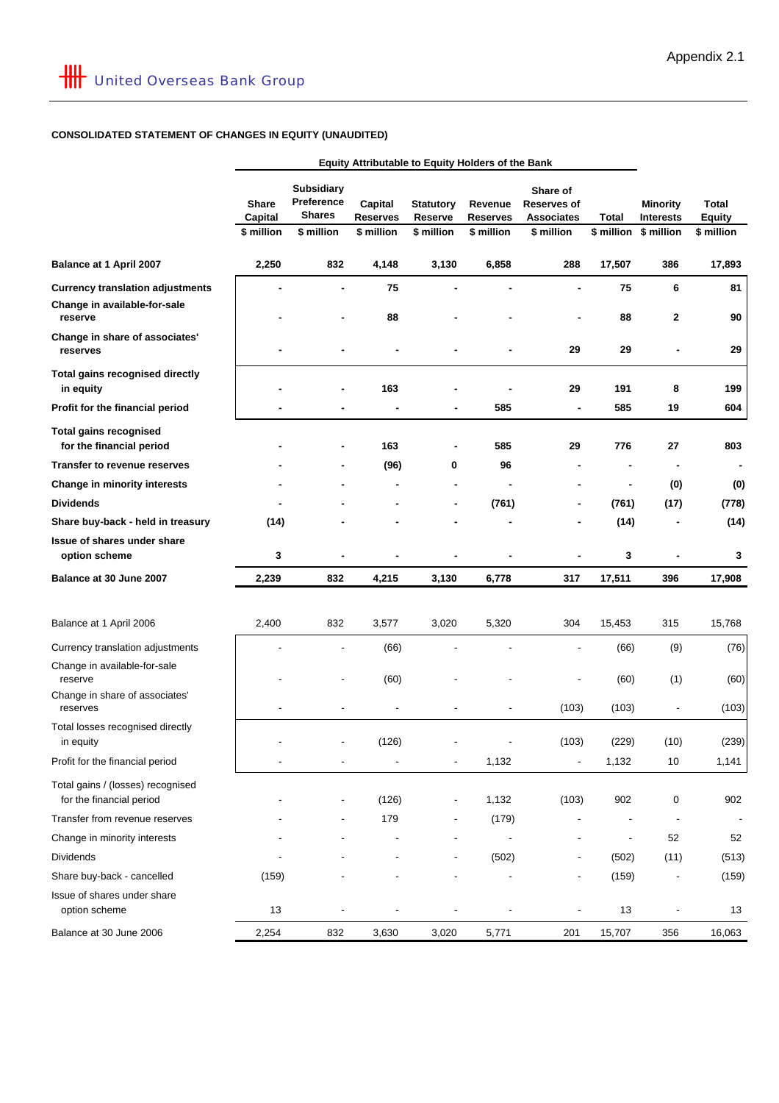# **CONSOLIDATED STATEMENT OF CHANGES IN EQUITY (UNAUDITED)**

|                                                               | Equity Attributable to Equity Holders of the Bank |                                                                |                                          |                                                  |                                          |                                                                   |                          |                                                   |                                      |
|---------------------------------------------------------------|---------------------------------------------------|----------------------------------------------------------------|------------------------------------------|--------------------------------------------------|------------------------------------------|-------------------------------------------------------------------|--------------------------|---------------------------------------------------|--------------------------------------|
|                                                               | <b>Share</b><br>Capital<br>\$ million             | <b>Subsidiary</b><br>Preference<br><b>Shares</b><br>\$ million | Capital<br><b>Reserves</b><br>\$ million | <b>Statutory</b><br><b>Reserve</b><br>\$ million | Revenue<br><b>Reserves</b><br>\$ million | Share of<br><b>Reserves of</b><br><b>Associates</b><br>\$ million | Total<br>\$ million      | <b>Minority</b><br><b>Interests</b><br>\$ million | Total<br><b>Equity</b><br>\$ million |
| Balance at 1 April 2007                                       | 2,250                                             | 832                                                            | 4,148                                    | 3,130                                            | 6,858                                    | 288                                                               | 17,507                   | 386                                               | 17,893                               |
| <b>Currency translation adjustments</b>                       |                                                   |                                                                | 75                                       |                                                  |                                          |                                                                   | 75                       | 6                                                 | 81                                   |
| Change in available-for-sale<br>reserve                       |                                                   |                                                                | 88                                       |                                                  |                                          |                                                                   | 88                       | 2                                                 | 90                                   |
| Change in share of associates'<br>reserves                    |                                                   |                                                                |                                          |                                                  |                                          | 29                                                                | 29                       |                                                   | 29                                   |
| <b>Total gains recognised directly</b><br>in equity           |                                                   |                                                                | 163                                      |                                                  |                                          | 29                                                                | 191                      | 8                                                 | 199                                  |
| Profit for the financial period                               |                                                   |                                                                |                                          | ٠                                                | 585                                      | $\blacksquare$                                                    | 585                      | 19                                                | 604                                  |
| <b>Total gains recognised</b><br>for the financial period     |                                                   |                                                                | 163                                      | $\qquad \qquad \blacksquare$                     | 585                                      | 29                                                                | 776                      | 27                                                | 803                                  |
| <b>Transfer to revenue reserves</b>                           |                                                   |                                                                | (96)                                     | 0                                                | 96                                       |                                                                   |                          |                                                   |                                      |
| Change in minority interests                                  |                                                   |                                                                |                                          | $\blacksquare$                                   |                                          |                                                                   | $\blacksquare$           | (0)                                               | (0)                                  |
| <b>Dividends</b>                                              |                                                   |                                                                |                                          | $\blacksquare$                                   | (761)                                    |                                                                   | (761)                    | (17)                                              | (778)                                |
| Share buy-back - held in treasury                             | (14)                                              |                                                                |                                          |                                                  |                                          |                                                                   | (14)                     |                                                   | (14)                                 |
| Issue of shares under share<br>option scheme                  | 3                                                 | ٠                                                              |                                          | $\blacksquare$                                   |                                          |                                                                   | 3                        |                                                   | 3                                    |
| Balance at 30 June 2007                                       | 2,239                                             | 832                                                            | 4,215                                    | 3,130                                            | 6,778                                    | 317                                                               | 17,511                   | 396                                               | 17,908                               |
| Balance at 1 April 2006                                       | 2,400                                             | 832                                                            | 3,577                                    | 3,020                                            | 5,320                                    | 304                                                               | 15,453                   | 315                                               | 15,768                               |
| Currency translation adjustments                              |                                                   |                                                                | (66)                                     |                                                  |                                          |                                                                   | (66)                     | (9)                                               | (76)                                 |
| Change in available-for-sale<br>reserve                       |                                                   |                                                                | (60)                                     |                                                  |                                          |                                                                   | (60)                     | (1)                                               | (60)                                 |
| Change in share of associates'<br>reserves                    |                                                   |                                                                |                                          |                                                  |                                          | (103)                                                             | (103)                    |                                                   | (103)                                |
| Total losses recognised directly<br>in equity                 |                                                   |                                                                | (126)                                    |                                                  |                                          | (103)                                                             | (229)                    | (10)                                              | (239)                                |
| Profit for the financial period                               |                                                   |                                                                |                                          | $\overline{\phantom{a}}$                         | 1,132                                    | $\overline{\phantom{a}}$                                          | 1,132                    | $10$                                              | 1,141                                |
| Total gains / (losses) recognised<br>for the financial period |                                                   |                                                                | (126)                                    |                                                  | 1,132                                    | (103)                                                             | 902                      | 0                                                 | 902                                  |
| Transfer from revenue reserves                                |                                                   |                                                                | 179                                      |                                                  | (179)                                    | ٠                                                                 |                          | $\overline{\phantom{a}}$                          |                                      |
| Change in minority interests                                  |                                                   |                                                                |                                          |                                                  |                                          |                                                                   | $\overline{\phantom{a}}$ | 52                                                | 52                                   |
| <b>Dividends</b>                                              |                                                   |                                                                |                                          | $\overline{\phantom{a}}$                         | (502)                                    | $\overline{\phantom{a}}$                                          | (502)                    | (11)                                              | (513)                                |
| Share buy-back - cancelled                                    | (159)                                             |                                                                |                                          |                                                  |                                          | $\overline{\phantom{a}}$                                          | (159)                    |                                                   | (159)                                |
| Issue of shares under share<br>option scheme                  | 13                                                | $\overline{\phantom{a}}$                                       | $\overline{\phantom{a}}$                 | $\overline{\phantom{a}}$                         | $\overline{\phantom{a}}$                 | $\overline{\phantom{a}}$                                          | 13                       | $\overline{\phantom{a}}$                          | 13                                   |
| Balance at 30 June 2006                                       | 2,254                                             | 832                                                            | 3,630                                    | 3,020                                            | 5,771                                    | 201                                                               | 15,707                   | 356                                               | 16,063                               |
|                                                               |                                                   |                                                                |                                          |                                                  |                                          |                                                                   |                          |                                                   |                                      |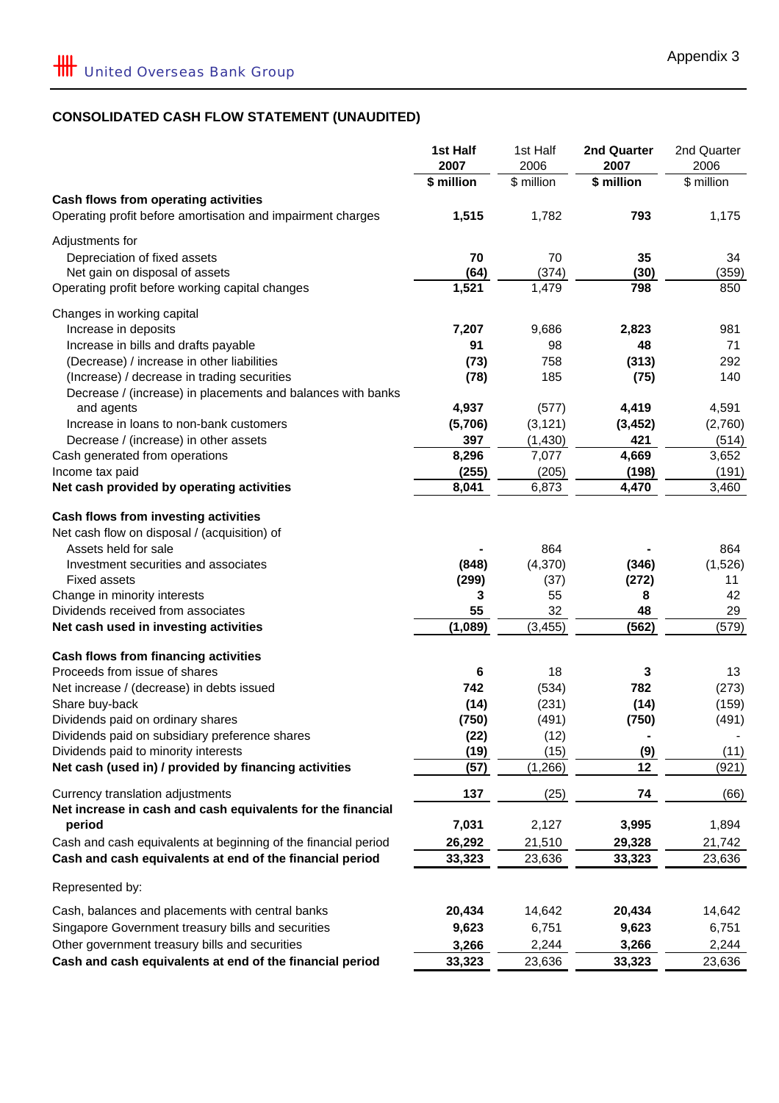# **CONSOLIDATED CASH FLOW STATEMENT (UNAUDITED)**

|                                                                                                 | 1st Half<br>2007 | 1st Half<br>2006 | 2nd Quarter<br>2007   | 2nd Quarter<br>2006 |
|-------------------------------------------------------------------------------------------------|------------------|------------------|-----------------------|---------------------|
|                                                                                                 | \$ million       | \$ million       | \$ million            | \$ million          |
| Cash flows from operating activities                                                            |                  |                  |                       |                     |
| Operating profit before amortisation and impairment charges                                     | 1,515            | 1,782            | 793                   | 1,175               |
| Adjustments for                                                                                 |                  |                  |                       |                     |
| Depreciation of fixed assets                                                                    | 70               | 70               | 35                    | 34                  |
| Net gain on disposal of assets                                                                  | (64)             | (374)            | (30)                  | (359)               |
| Operating profit before working capital changes                                                 | 1,521            | 1,479            | 798                   | 850                 |
| Changes in working capital                                                                      |                  |                  |                       |                     |
| Increase in deposits                                                                            | 7,207            | 9,686            | 2,823                 | 981                 |
| Increase in bills and drafts payable                                                            | 91               | 98               | 48                    | 71                  |
| (Decrease) / increase in other liabilities                                                      | (73)             | 758              | (313)                 | 292                 |
| (Increase) / decrease in trading securities                                                     | (78)             | 185              | (75)                  | 140                 |
| Decrease / (increase) in placements and balances with banks                                     |                  |                  |                       |                     |
| and agents                                                                                      | 4,937            | (577)            | 4,419                 | 4,591               |
| Increase in loans to non-bank customers                                                         | (5,706)          | (3, 121)         | (3, 452)              | (2,760)             |
| Decrease / (increase) in other assets<br>Cash generated from operations                         | 397<br>8,296     | (1, 430)         | 421<br>4,669          | (514)               |
| Income tax paid                                                                                 | (255)            | 7,077<br>(205)   | (198)                 | 3,652<br>(191)      |
| Net cash provided by operating activities                                                       | 8,041            | 6,873            | 4,470                 | 3,460               |
|                                                                                                 |                  |                  |                       |                     |
| Cash flows from investing activities                                                            |                  |                  |                       |                     |
| Net cash flow on disposal / (acquisition) of                                                    |                  |                  |                       |                     |
| Assets held for sale                                                                            |                  | 864              |                       | 864                 |
| Investment securities and associates                                                            | (848)            | (4,370)          | (346)                 | (1,526)             |
| Fixed assets                                                                                    | (299)            | (37)             | (272)                 | 11                  |
| Change in minority interests<br>Dividends received from associates                              | 3<br>55          | 55<br>32         | 8<br>48               | 42<br>29            |
| Net cash used in investing activities                                                           | (1,089)          | (3, 455)         | (562)                 | (579)               |
|                                                                                                 |                  |                  |                       |                     |
| Cash flows from financing activities                                                            |                  |                  |                       |                     |
| Proceeds from issue of shares                                                                   | 6                | 18               | 3                     | 13                  |
| Net increase / (decrease) in debts issued                                                       | 742              | (534)            | 782                   | (273)               |
| Share buy-back                                                                                  | (14)             | (231)            | (14)                  | (159)               |
| Dividends paid on ordinary shares<br>Dividends paid on subsidiary preference shares             | (750)            | (491)            | (750)                 | (491)               |
| Dividends paid to minority interests                                                            | (22)<br>(19)     | (12)<br>(15)     | $\blacksquare$<br>(9) | (11)                |
| Net cash (used in) / provided by financing activities                                           | (57)             | (1,266)          | 12                    | (921)               |
|                                                                                                 |                  |                  |                       |                     |
| Currency translation adjustments<br>Net increase in cash and cash equivalents for the financial | 137              | (25)             | 74                    | (66)                |
| period                                                                                          | 7,031            | 2,127            | 3,995                 | 1,894               |
| Cash and cash equivalents at beginning of the financial period                                  | 26,292           | 21,510           | 29,328                | 21,742              |
| Cash and cash equivalents at end of the financial period                                        | 33,323           | 23,636           | 33,323                | 23,636              |
| Represented by:                                                                                 |                  |                  |                       |                     |
| Cash, balances and placements with central banks                                                | 20,434           | 14,642           | 20,434                | 14,642              |
| Singapore Government treasury bills and securities                                              | 9,623            | 6,751            | 9,623                 | 6,751               |
| Other government treasury bills and securities                                                  | 3,266            | 2,244            | 3,266                 | 2,244               |
| Cash and cash equivalents at end of the financial period                                        | 33,323           | 23,636           | 33,323                | 23,636              |
|                                                                                                 |                  |                  |                       |                     |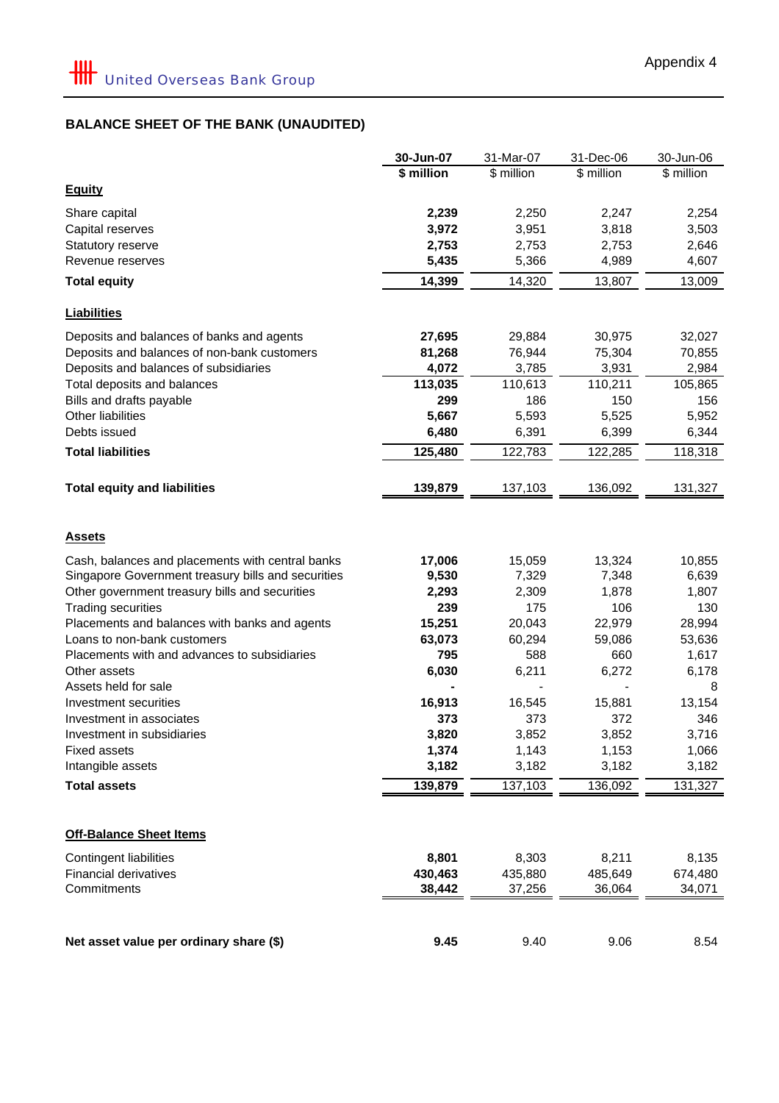|                                                                            | 30-Jun-07    | 31-Mar-07    | 31-Dec-06     | 30-Jun-06    |
|----------------------------------------------------------------------------|--------------|--------------|---------------|--------------|
|                                                                            | \$ million   | \$ million   | \$ million    | \$ million   |
| <b>Equity</b>                                                              |              |              |               |              |
| Share capital                                                              | 2,239        | 2,250        | 2,247         | 2,254        |
| Capital reserves                                                           | 3,972        | 3,951        | 3,818         | 3,503        |
| Statutory reserve                                                          | 2,753        | 2,753        | 2,753         | 2,646        |
| Revenue reserves                                                           | 5,435        | 5,366        | 4,989         | 4,607        |
|                                                                            | 14,399       | 14,320       | 13,807        | 13,009       |
| <b>Total equity</b>                                                        |              |              |               |              |
| <b>Liabilities</b>                                                         |              |              |               |              |
| Deposits and balances of banks and agents                                  | 27,695       | 29,884       | 30,975        | 32,027       |
| Deposits and balances of non-bank customers                                | 81,268       | 76,944       | 75,304        | 70,855       |
| Deposits and balances of subsidiaries                                      | 4,072        | 3,785        | 3,931         | 2,984        |
| Total deposits and balances                                                | 113,035      | 110,613      | 110,211       | 105,865      |
| Bills and drafts payable                                                   | 299          | 186          | 150           | 156          |
| Other liabilities                                                          | 5,667        | 5,593        | 5,525         | 5,952        |
| Debts issued                                                               | 6,480        | 6,391        | 6,399         | 6,344        |
| <b>Total liabilities</b>                                                   | 125,480      | 122,783      | 122,285       | 118,318      |
|                                                                            |              |              |               |              |
| <b>Total equity and liabilities</b>                                        | 139,879      | 137,103      | 136,092       | 131,327      |
| <b>Assets</b>                                                              |              |              |               |              |
|                                                                            |              |              |               |              |
| Cash, balances and placements with central banks                           | 17,006       | 15,059       | 13,324        | 10,855       |
| Singapore Government treasury bills and securities                         | 9,530        | 7,329        | 7,348         | 6,639        |
| Other government treasury bills and securities                             | 2,293<br>239 | 2,309<br>175 | 1,878         | 1,807<br>130 |
| <b>Trading securities</b><br>Placements and balances with banks and agents | 15,251       | 20,043       | 106<br>22,979 | 28,994       |
| Loans to non-bank customers                                                | 63,073       | 60,294       | 59,086        | 53,636       |
| Placements with and advances to subsidiaries                               | 795          | 588          | 660           | 1,617        |
| Other assets                                                               | 6,030        | 6,211        | 6,272         | 6,178        |
| Assets held for sale                                                       |              |              |               | 8            |
| Investment securities                                                      | 16,913       | 16,545       | 15,881        | 13,154       |
| Investment in associates                                                   | 373          | 373          | 372           | 346          |
| Investment in subsidiaries                                                 | 3,820        | 3,852        | 3,852         | 3,716        |
| <b>Fixed assets</b>                                                        | 1,374        | 1,143        | 1,153         | 1,066        |
| Intangible assets                                                          | 3,182        | 3,182        | 3,182         | 3,182        |
| <b>Total assets</b>                                                        | 139,879      | 137,103      | 136,092       | 131,327      |
|                                                                            |              |              |               |              |
| <b>Off-Balance Sheet Items</b>                                             |              |              |               |              |
| <b>Contingent liabilities</b>                                              | 8,801        | 8,303        | 8,211         | 8,135        |
| <b>Financial derivatives</b>                                               | 430,463      | 435,880      | 485,649       | 674,480      |
| Commitments                                                                | 38,442       | 37,256       | 36,064        | 34,071       |
|                                                                            |              |              |               |              |
| Net asset value per ordinary share (\$)                                    | 9.45         | 9.40         | 9.06          | 8.54         |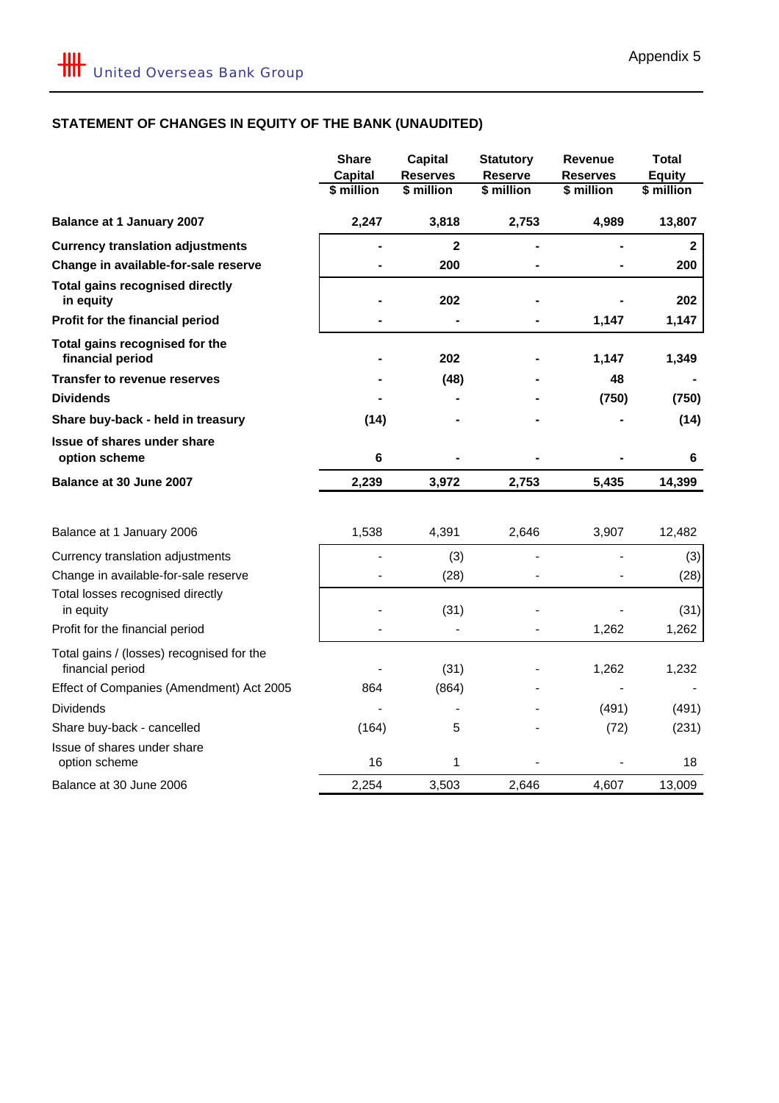# **STATEMENT OF CHANGES IN EQUITY OF THE BANK (UNAUDITED)**

|                                                               | <b>Share</b><br><b>Capital</b><br>\$ million | <b>Capital</b><br><b>Reserves</b><br>\$ million | <b>Statutory</b><br><b>Reserve</b><br>\$ million | Revenue<br>Reserves<br>\$ million | <b>Total</b><br><b>Equity</b><br>\$ million |
|---------------------------------------------------------------|----------------------------------------------|-------------------------------------------------|--------------------------------------------------|-----------------------------------|---------------------------------------------|
| <b>Balance at 1 January 2007</b>                              | 2,247                                        | 3,818                                           | 2,753                                            | 4,989                             | 13,807                                      |
| <b>Currency translation adjustments</b>                       |                                              | $\overline{\mathbf{2}}$                         |                                                  |                                   | $\mathbf{2}$                                |
| Change in available-for-sale reserve                          |                                              | 200                                             |                                                  |                                   | 200                                         |
| <b>Total gains recognised directly</b><br>in equity           |                                              | 202                                             |                                                  |                                   | 202                                         |
| Profit for the financial period                               |                                              |                                                 |                                                  | 1,147                             | 1,147                                       |
| Total gains recognised for the<br>financial period            |                                              | 202                                             |                                                  | 1,147                             | 1,349                                       |
| <b>Transfer to revenue reserves</b>                           |                                              | (48)                                            |                                                  | 48                                |                                             |
| <b>Dividends</b>                                              |                                              |                                                 |                                                  | (750)                             | (750)                                       |
| Share buy-back - held in treasury                             | (14)                                         |                                                 |                                                  |                                   | (14)                                        |
| <b>Issue of shares under share</b><br>option scheme           | 6                                            |                                                 |                                                  |                                   | 6                                           |
| Balance at 30 June 2007                                       | 2,239                                        | 3,972                                           | 2,753                                            | 5,435                             | 14,399                                      |
| Balance at 1 January 2006                                     | 1,538                                        | 4,391                                           | 2,646                                            | 3,907                             | 12,482                                      |
| Currency translation adjustments                              |                                              | (3)                                             |                                                  |                                   | (3)                                         |
| Change in available-for-sale reserve                          |                                              | (28)                                            |                                                  |                                   | (28)                                        |
| Total losses recognised directly<br>in equity                 |                                              | (31)                                            |                                                  |                                   | (31)                                        |
| Profit for the financial period                               |                                              |                                                 |                                                  | 1,262                             | 1,262                                       |
| Total gains / (losses) recognised for the<br>financial period |                                              | (31)                                            |                                                  | 1,262                             | 1,232                                       |
| Effect of Companies (Amendment) Act 2005                      | 864                                          | (864)                                           |                                                  |                                   |                                             |
| <b>Dividends</b>                                              |                                              |                                                 |                                                  | (491)                             | (491)                                       |
| Share buy-back - cancelled                                    | (164)                                        | $\mathbf 5$                                     |                                                  | (72)                              | (231)                                       |
| Issue of shares under share<br>option scheme                  | 16                                           | 1                                               |                                                  |                                   | 18                                          |
| Balance at 30 June 2006                                       | 2,254                                        | 3,503                                           | 2,646                                            | 4,607                             | 13,009                                      |